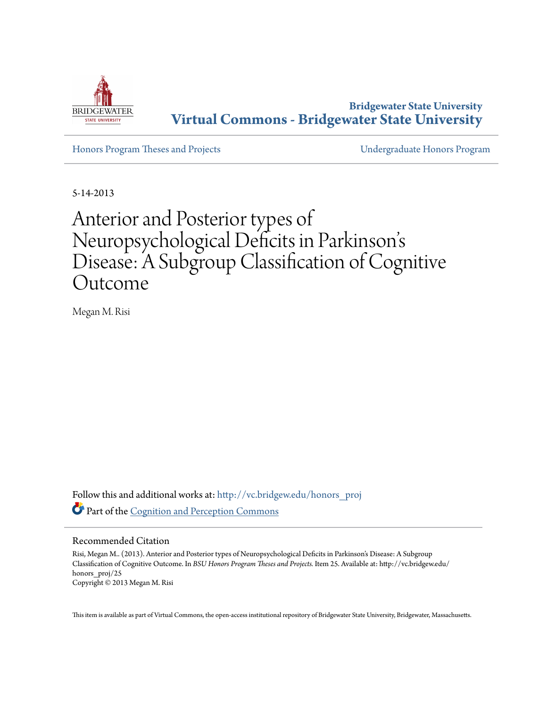

**Bridgewater State University [Virtual Commons - Bridgewater State University](http://vc.bridgew.edu?utm_source=vc.bridgew.edu%2Fhonors_proj%2F25&utm_medium=PDF&utm_campaign=PDFCoverPages)**

[Honors Program Theses and Projects](http://vc.bridgew.edu/honors_proj?utm_source=vc.bridgew.edu%2Fhonors_proj%2F25&utm_medium=PDF&utm_campaign=PDFCoverPages) [Undergraduate Honors Program](http://vc.bridgew.edu/honors?utm_source=vc.bridgew.edu%2Fhonors_proj%2F25&utm_medium=PDF&utm_campaign=PDFCoverPages)

5-14-2013

# Anterior and Posterior types of Neuropsychological Deficits in Parkinson' s Disease: A Subgroup Classification of Cognitive Outcome

Megan M. Risi

Follow this and additional works at: [http://vc.bridgew.edu/honors\\_proj](http://vc.bridgew.edu/honors_proj?utm_source=vc.bridgew.edu%2Fhonors_proj%2F25&utm_medium=PDF&utm_campaign=PDFCoverPages) Part of the [Cognition and Perception Commons](http://network.bepress.com/hgg/discipline/407?utm_source=vc.bridgew.edu%2Fhonors_proj%2F25&utm_medium=PDF&utm_campaign=PDFCoverPages)

#### Recommended Citation

Risi, Megan M.. (2013). Anterior and Posterior types of Neuropsychological Deficits in Parkinson's Disease: A Subgroup Classification of Cognitive Outcome. In *BSU Honors Program Theses and Projects.* Item 25. Available at: http://vc.bridgew.edu/ honors proj/25 Copyright © 2013 Megan M. Risi

This item is available as part of Virtual Commons, the open-access institutional repository of Bridgewater State University, Bridgewater, Massachusetts.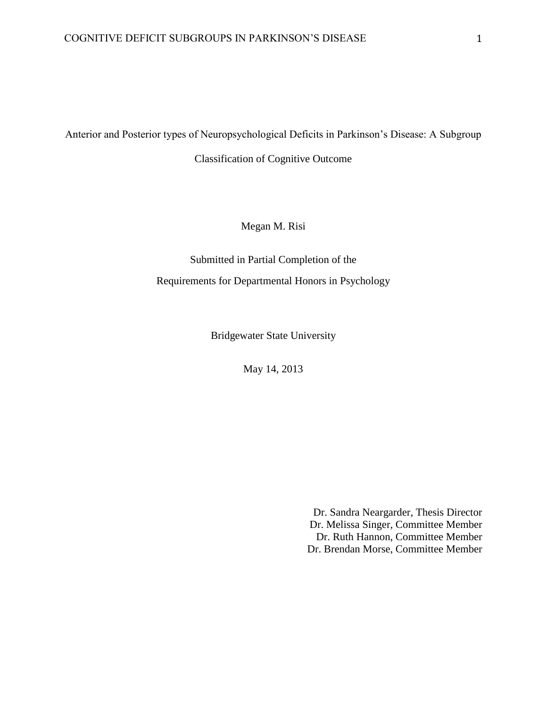Anterior and Posterior types of Neuropsychological Deficits in Parkinson's Disease: A Subgroup

Classification of Cognitive Outcome

Megan M. Risi

Submitted in Partial Completion of the Requirements for Departmental Honors in Psychology

Bridgewater State University

May 14, 2013

Dr. Sandra Neargarder, Thesis Director Dr. Melissa Singer, Committee Member Dr. Ruth Hannon, Committee Member Dr. Brendan Morse, Committee Member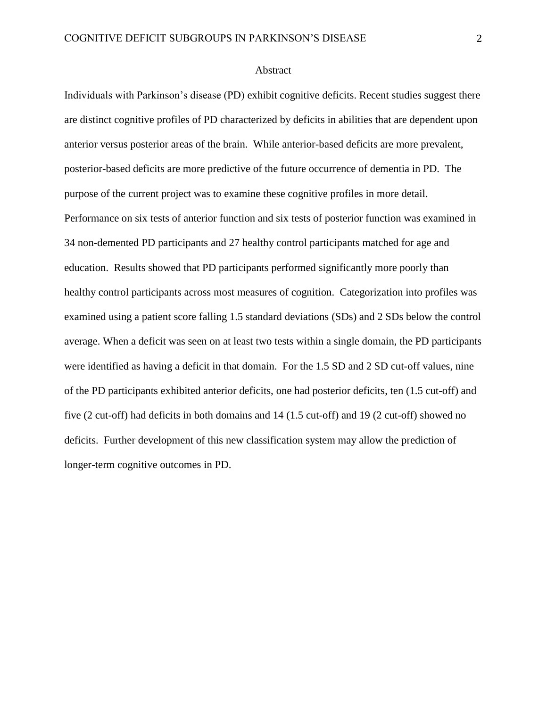#### Abstract

Individuals with Parkinson's disease (PD) exhibit cognitive deficits. Recent studies suggest there are distinct cognitive profiles of PD characterized by deficits in abilities that are dependent upon anterior versus posterior areas of the brain. While anterior-based deficits are more prevalent, posterior-based deficits are more predictive of the future occurrence of dementia in PD. The purpose of the current project was to examine these cognitive profiles in more detail. Performance on six tests of anterior function and six tests of posterior function was examined in 34 non-demented PD participants and 27 healthy control participants matched for age and education. Results showed that PD participants performed significantly more poorly than healthy control participants across most measures of cognition. Categorization into profiles was examined using a patient score falling 1.5 standard deviations (SDs) and 2 SDs below the control average. When a deficit was seen on at least two tests within a single domain, the PD participants were identified as having a deficit in that domain. For the 1.5 SD and 2 SD cut-off values, nine of the PD participants exhibited anterior deficits, one had posterior deficits, ten (1.5 cut-off) and five (2 cut-off) had deficits in both domains and 14 (1.5 cut-off) and 19 (2 cut-off) showed no deficits. Further development of this new classification system may allow the prediction of longer-term cognitive outcomes in PD.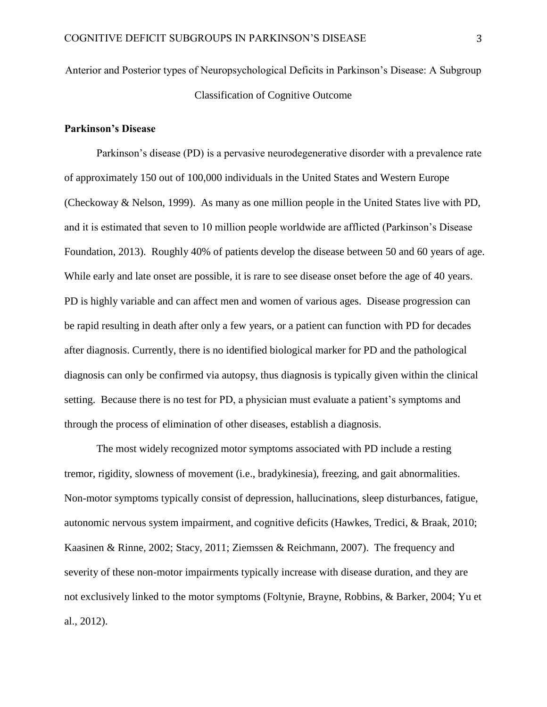Anterior and Posterior types of Neuropsychological Deficits in Parkinson's Disease: A Subgroup Classification of Cognitive Outcome

## **Parkinson's Disease**

Parkinson's disease (PD) is a pervasive neurodegenerative disorder with a prevalence rate of approximately 150 out of 100,000 individuals in the United States and Western Europe (Checkoway & Nelson, 1999). As many as one million people in the United States live with PD, and it is estimated that seven to 10 million people worldwide are afflicted (Parkinson's Disease Foundation, 2013). Roughly 40% of patients develop the disease between 50 and 60 years of age. While early and late onset are possible, it is rare to see disease onset before the age of 40 years. PD is highly variable and can affect men and women of various ages. Disease progression can be rapid resulting in death after only a few years, or a patient can function with PD for decades after diagnosis. Currently, there is no identified biological marker for PD and the pathological diagnosis can only be confirmed via autopsy, thus diagnosis is typically given within the clinical setting. Because there is no test for PD, a physician must evaluate a patient's symptoms and through the process of elimination of other diseases, establish a diagnosis.

The most widely recognized motor symptoms associated with PD include a resting tremor, rigidity, slowness of movement (i.e., bradykinesia), freezing, and gait abnormalities. Non-motor symptoms typically consist of depression, hallucinations, sleep disturbances, fatigue, autonomic nervous system impairment, and cognitive deficits (Hawkes, Tredici, & Braak, 2010; Kaasinen & Rinne, 2002; Stacy, 2011; Ziemssen & Reichmann, 2007). The frequency and severity of these non-motor impairments typically increase with disease duration, and they are not exclusively linked to the motor symptoms (Foltynie, Brayne, Robbins, & Barker, 2004; Yu et al., 2012).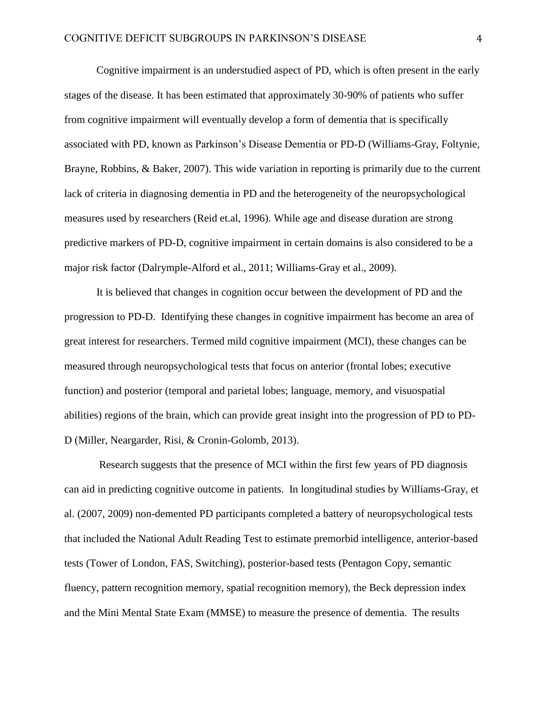Cognitive impairment is an understudied aspect of PD, which is often present in the early stages of the disease. It has been estimated that approximately 30-90% of patients who suffer from cognitive impairment will eventually develop a form of dementia that is specifically associated with PD, known as Parkinson's Disease Dementia or PD-D (Williams-Gray, Foltynie, Brayne, Robbins, & Baker, 2007). This wide variation in reporting is primarily due to the current lack of criteria in diagnosing dementia in PD and the heterogeneity of the neuropsychological measures used by researchers (Reid et.al, 1996). While age and disease duration are strong predictive markers of PD-D, cognitive impairment in certain domains is also considered to be a major risk factor (Dalrymple-Alford et al., 2011; Williams-Gray et al., 2009).

It is believed that changes in cognition occur between the development of PD and the progression to PD-D. Identifying these changes in cognitive impairment has become an area of great interest for researchers. Termed mild cognitive impairment (MCI), these changes can be measured through neuropsychological tests that focus on anterior (frontal lobes; executive function) and posterior (temporal and parietal lobes; language, memory, and visuospatial abilities) regions of the brain, which can provide great insight into the progression of PD to PD-D (Miller, Neargarder, Risi, & Cronin-Golomb, 2013).

Research suggests that the presence of MCI within the first few years of PD diagnosis can aid in predicting cognitive outcome in patients. In longitudinal studies by Williams-Gray, et al. (2007, 2009) non-demented PD participants completed a battery of neuropsychological tests that included the National Adult Reading Test to estimate premorbid intelligence, anterior-based tests (Tower of London, FAS, Switching), posterior-based tests (Pentagon Copy, semantic fluency, pattern recognition memory, spatial recognition memory), the Beck depression index and the Mini Mental State Exam (MMSE) to measure the presence of dementia. The results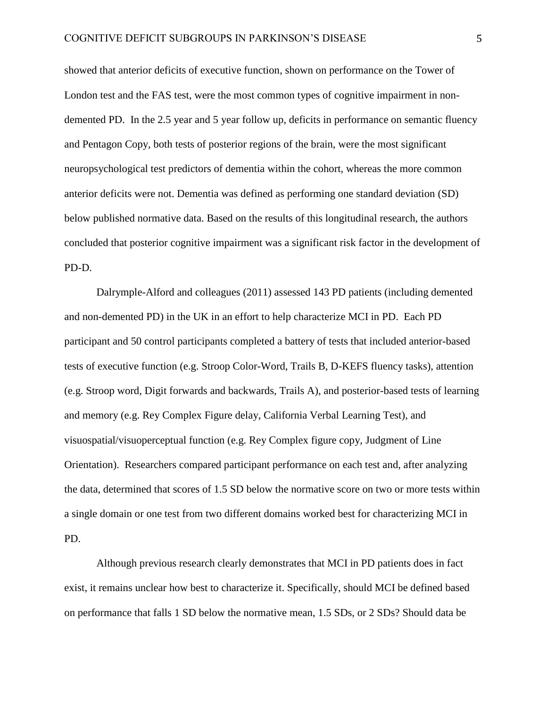showed that anterior deficits of executive function, shown on performance on the Tower of London test and the FAS test, were the most common types of cognitive impairment in nondemented PD. In the 2.5 year and 5 year follow up, deficits in performance on semantic fluency and Pentagon Copy, both tests of posterior regions of the brain, were the most significant neuropsychological test predictors of dementia within the cohort, whereas the more common anterior deficits were not. Dementia was defined as performing one standard deviation (SD) below published normative data. Based on the results of this longitudinal research, the authors concluded that posterior cognitive impairment was a significant risk factor in the development of PD-D.

Dalrymple-Alford and colleagues (2011) assessed 143 PD patients (including demented and non-demented PD) in the UK in an effort to help characterize MCI in PD. Each PD participant and 50 control participants completed a battery of tests that included anterior-based tests of executive function (e.g. Stroop Color-Word, Trails B, D-KEFS fluency tasks), attention (e.g. Stroop word, Digit forwards and backwards, Trails A), and posterior-based tests of learning and memory (e.g. Rey Complex Figure delay, California Verbal Learning Test), and visuospatial/visuoperceptual function (e.g. Rey Complex figure copy, Judgment of Line Orientation). Researchers compared participant performance on each test and, after analyzing the data, determined that scores of 1.5 SD below the normative score on two or more tests within a single domain or one test from two different domains worked best for characterizing MCI in PD.

Although previous research clearly demonstrates that MCI in PD patients does in fact exist, it remains unclear how best to characterize it. Specifically, should MCI be defined based on performance that falls 1 SD below the normative mean, 1.5 SDs, or 2 SDs? Should data be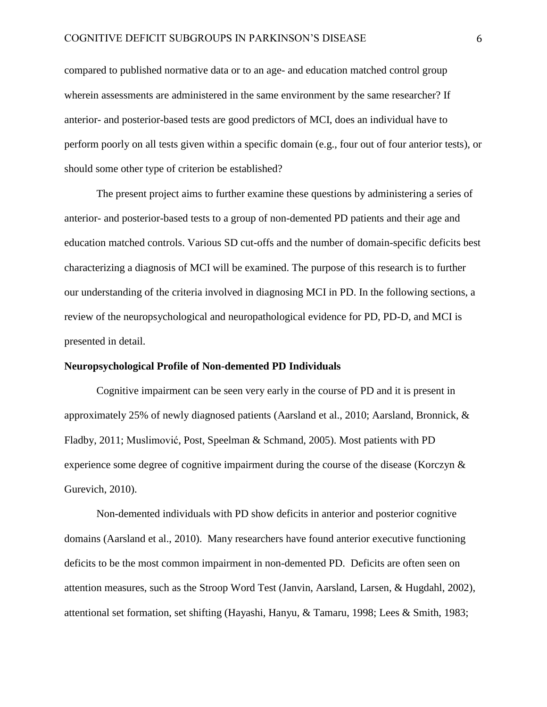compared to published normative data or to an age- and education matched control group wherein assessments are administered in the same environment by the same researcher? If anterior- and posterior-based tests are good predictors of MCI, does an individual have to perform poorly on all tests given within a specific domain (e.g., four out of four anterior tests), or should some other type of criterion be established?

The present project aims to further examine these questions by administering a series of anterior- and posterior-based tests to a group of non-demented PD patients and their age and education matched controls. Various SD cut-offs and the number of domain-specific deficits best characterizing a diagnosis of MCI will be examined. The purpose of this research is to further our understanding of the criteria involved in diagnosing MCI in PD. In the following sections, a review of the neuropsychological and neuropathological evidence for PD, PD-D, and MCI is presented in detail.

#### **Neuropsychological Profile of Non-demented PD Individuals**

Cognitive impairment can be seen very early in the course of PD and it is present in approximately 25% of newly diagnosed patients (Aarsland et al., 2010; Aarsland, Bronnick, & Fladby, 2011; Muslimović, Post, Speelman & Schmand, 2005). Most patients with PD experience some degree of cognitive impairment during the course of the disease (Korczyn & Gurevich, 2010).

Non-demented individuals with PD show deficits in anterior and posterior cognitive domains (Aarsland et al., 2010). Many researchers have found anterior executive functioning deficits to be the most common impairment in non-demented PD. Deficits are often seen on attention measures, such as the Stroop Word Test (Janvin, Aarsland, Larsen, & Hugdahl, 2002), attentional set formation, set shifting (Hayashi, Hanyu, & Tamaru, 1998; Lees & Smith, 1983;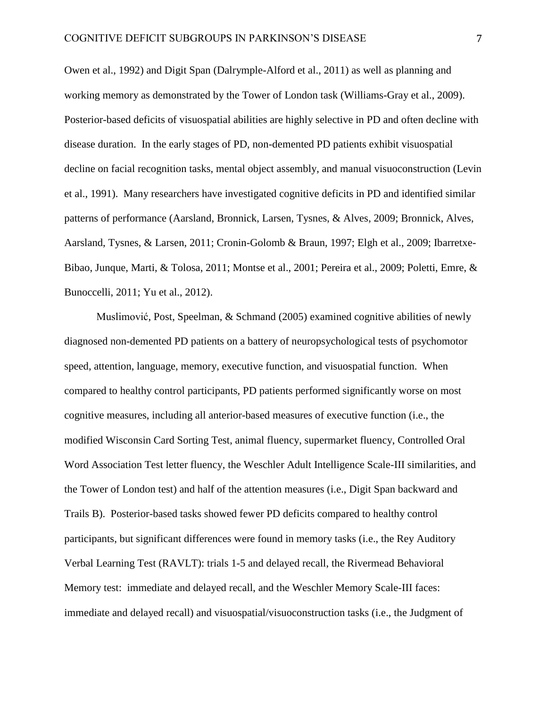Owen et al., 1992) and Digit Span (Dalrymple-Alford et al., 2011) as well as planning and working memory as demonstrated by the Tower of London task (Williams-Gray et al., 2009). Posterior-based deficits of visuospatial abilities are highly selective in PD and often decline with disease duration. In the early stages of PD, non-demented PD patients exhibit visuospatial decline on facial recognition tasks, mental object assembly, and manual visuoconstruction (Levin et al., 1991). Many researchers have investigated cognitive deficits in PD and identified similar patterns of performance (Aarsland, Bronnick, Larsen, Tysnes, & Alves, 2009; Bronnick, Alves, Aarsland, Tysnes, & Larsen, 2011; Cronin-Golomb & Braun, 1997; Elgh et al., 2009; Ibarretxe-Bibao, Junque, Marti, & Tolosa, 2011; Montse et al., 2001; Pereira et al., 2009; Poletti, Emre, & Bunoccelli, 2011; Yu et al., 2012).

Muslimović, Post, Speelman, & Schmand (2005) examined cognitive abilities of newly diagnosed non-demented PD patients on a battery of neuropsychological tests of psychomotor speed, attention, language, memory, executive function, and visuospatial function. When compared to healthy control participants, PD patients performed significantly worse on most cognitive measures, including all anterior-based measures of executive function (i.e., the modified Wisconsin Card Sorting Test, animal fluency, supermarket fluency, Controlled Oral Word Association Test letter fluency, the Weschler Adult Intelligence Scale-III similarities, and the Tower of London test) and half of the attention measures (i.e., Digit Span backward and Trails B). Posterior-based tasks showed fewer PD deficits compared to healthy control participants, but significant differences were found in memory tasks (i.e., the Rey Auditory Verbal Learning Test (RAVLT): trials 1-5 and delayed recall, the Rivermead Behavioral Memory test: immediate and delayed recall, and the Weschler Memory Scale-III faces: immediate and delayed recall) and visuospatial/visuoconstruction tasks (i.e., the Judgment of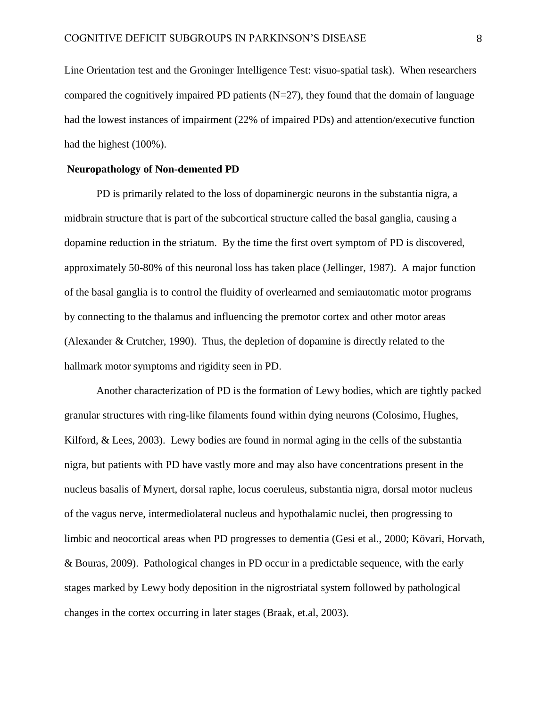Line Orientation test and the Groninger Intelligence Test: visuo-spatial task). When researchers compared the cognitively impaired PD patients  $(N=27)$ , they found that the domain of language had the lowest instances of impairment (22% of impaired PDs) and attention/executive function had the highest (100%).

#### **Neuropathology of Non-demented PD**

PD is primarily related to the loss of dopaminergic neurons in the substantia nigra, a midbrain structure that is part of the subcortical structure called the basal ganglia, causing a dopamine reduction in the striatum. By the time the first overt symptom of PD is discovered, approximately 50-80% of this neuronal loss has taken place (Jellinger, 1987). A major function of the basal ganglia is to control the fluidity of overlearned and semiautomatic motor programs by connecting to the thalamus and influencing the premotor cortex and other motor areas (Alexander & Crutcher, 1990). Thus, the depletion of dopamine is directly related to the hallmark motor symptoms and rigidity seen in PD.

Another characterization of PD is the formation of Lewy bodies, which are tightly packed granular structures with ring-like filaments found within dying neurons (Colosimo, Hughes, Kilford,  $\&$  Lees, 2003). Lewy bodies are found in normal aging in the cells of the substantia nigra, but patients with PD have vastly more and may also have concentrations present in the nucleus basalis of Mynert, dorsal raphe, locus coeruleus, substantia nigra, dorsal motor nucleus of the vagus nerve, intermediolateral nucleus and hypothalamic nuclei, then progressing to limbic and neocortical areas when PD progresses to dementia (Gesi et al., 2000; Kövari, Horvath, & Bouras, 2009). Pathological changes in PD occur in a predictable sequence, with the early stages marked by Lewy body deposition in the nigrostriatal system followed by pathological changes in the cortex occurring in later stages (Braak, et.al, 2003).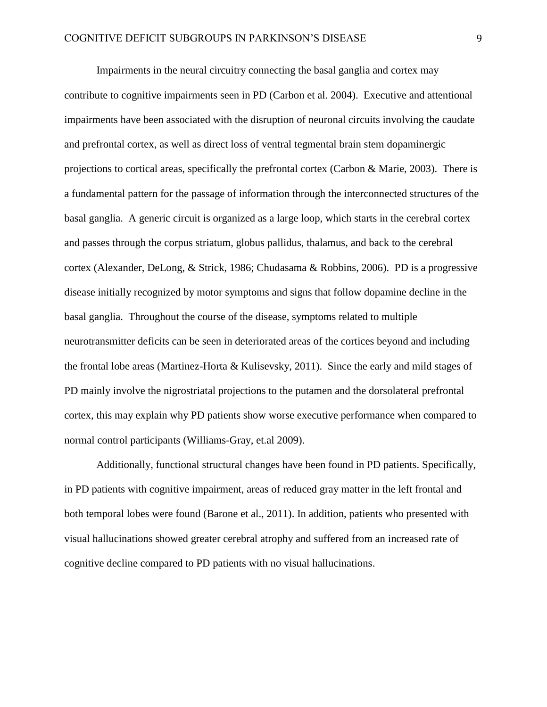Impairments in the neural circuitry connecting the basal ganglia and cortex may contribute to cognitive impairments seen in PD (Carbon et al. 2004). Executive and attentional impairments have been associated with the disruption of neuronal circuits involving the caudate and prefrontal cortex, as well as direct loss of ventral tegmental brain stem dopaminergic projections to cortical areas, specifically the prefrontal cortex (Carbon & Marie, 2003). There is a fundamental pattern for the passage of information through the interconnected structures of the basal ganglia. A generic circuit is organized as a large loop, which starts in the cerebral cortex and passes through the corpus striatum, globus pallidus, thalamus, and back to the cerebral cortex (Alexander, DeLong, & Strick, 1986; Chudasama & Robbins, 2006). PD is a progressive disease initially recognized by motor symptoms and signs that follow dopamine decline in the basal ganglia. Throughout the course of the disease, symptoms related to multiple neurotransmitter deficits can be seen in deteriorated areas of the cortices beyond and including the frontal lobe areas (Martinez-Horta & Kulisevsky, 2011). Since the early and mild stages of PD mainly involve the nigrostriatal projections to the putamen and the dorsolateral prefrontal cortex, this may explain why PD patients show worse executive performance when compared to normal control participants (Williams-Gray, et.al 2009).

Additionally, functional structural changes have been found in PD patients. Specifically, in PD patients with cognitive impairment, areas of reduced gray matter in the left frontal and both temporal lobes were found (Barone et al., 2011). In addition, patients who presented with visual hallucinations showed greater cerebral atrophy and suffered from an increased rate of cognitive decline compared to PD patients with no visual hallucinations.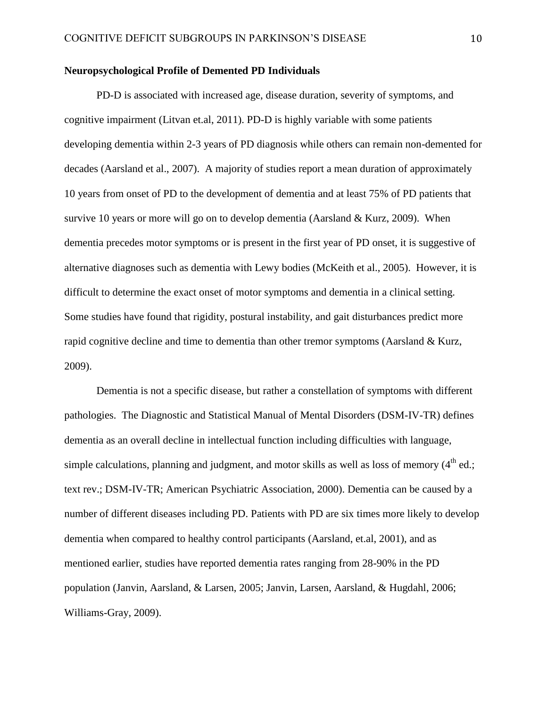# **Neuropsychological Profile of Demented PD Individuals**

PD-D is associated with increased age, disease duration, severity of symptoms, and cognitive impairment (Litvan et.al, 2011). PD-D is highly variable with some patients developing dementia within 2-3 years of PD diagnosis while others can remain non-demented for decades (Aarsland et al., 2007). A majority of studies report a mean duration of approximately 10 years from onset of PD to the development of dementia and at least 75% of PD patients that survive 10 years or more will go on to develop dementia (Aarsland  $& Kurz, 2009$ ). When dementia precedes motor symptoms or is present in the first year of PD onset, it is suggestive of alternative diagnoses such as dementia with Lewy bodies (McKeith et al., 2005). However, it is difficult to determine the exact onset of motor symptoms and dementia in a clinical setting. Some studies have found that rigidity, postural instability, and gait disturbances predict more rapid cognitive decline and time to dementia than other tremor symptoms (Aarsland & Kurz, 2009).

Dementia is not a specific disease, but rather a constellation of symptoms with different pathologies. The Diagnostic and Statistical Manual of Mental Disorders (DSM-IV-TR) defines dementia as an overall decline in intellectual function including difficulties with language, simple calculations, planning and judgment, and motor skills as well as loss of memory  $(4<sup>th</sup>$  ed.; text rev.; DSM-IV-TR; American Psychiatric Association, 2000). Dementia can be caused by a number of different diseases including PD. Patients with PD are six times more likely to develop dementia when compared to healthy control participants (Aarsland, et.al, 2001), and as mentioned earlier, studies have reported dementia rates ranging from 28-90% in the PD population (Janvin, Aarsland, & Larsen, 2005; Janvin, Larsen, Aarsland, & Hugdahl, 2006; Williams-Gray, 2009).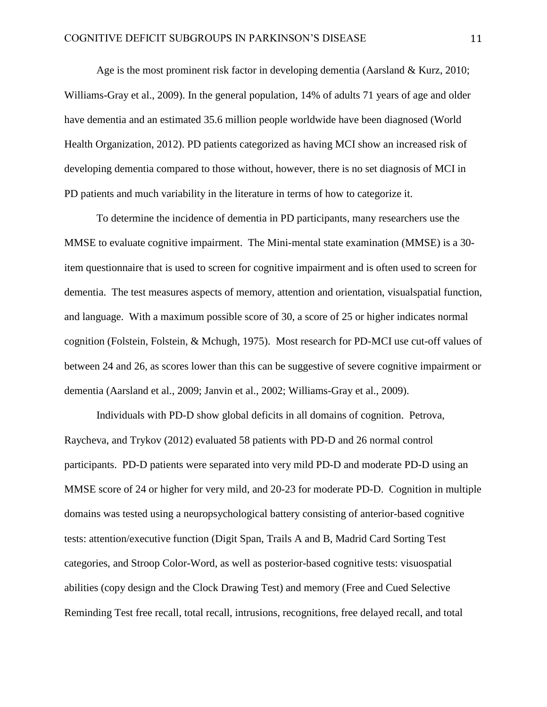Age is the most prominent risk factor in developing dementia (Aarsland & Kurz, 2010; Williams-Gray et al., 2009). In the general population, 14% of adults 71 years of age and older have dementia and an estimated 35.6 million people worldwide have been diagnosed (World Health Organization, 2012). PD patients categorized as having MCI show an increased risk of developing dementia compared to those without, however, there is no set diagnosis of MCI in PD patients and much variability in the literature in terms of how to categorize it.

To determine the incidence of dementia in PD participants, many researchers use the MMSE to evaluate cognitive impairment. The Mini-mental state examination (MMSE) is a 30 item questionnaire that is used to screen for cognitive impairment and is often used to screen for dementia. The test measures aspects of memory, attention and orientation, visualspatial function, and language. With a maximum possible score of 30, a score of 25 or higher indicates normal cognition (Folstein, Folstein, & Mchugh, 1975). Most research for PD-MCI use cut-off values of between 24 and 26, as scores lower than this can be suggestive of severe cognitive impairment or dementia (Aarsland et al., 2009; Janvin et al., 2002; Williams-Gray et al., 2009).

Individuals with PD-D show global deficits in all domains of cognition. Petrova, Raycheva, and Trykov (2012) evaluated 58 patients with PD-D and 26 normal control participants. PD-D patients were separated into very mild PD-D and moderate PD-D using an MMSE score of 24 or higher for very mild, and 20-23 for moderate PD-D. Cognition in multiple domains was tested using a neuropsychological battery consisting of anterior-based cognitive tests: attention/executive function (Digit Span, Trails A and B, Madrid Card Sorting Test categories, and Stroop Color-Word, as well as posterior-based cognitive tests: visuospatial abilities (copy design and the Clock Drawing Test) and memory (Free and Cued Selective Reminding Test free recall, total recall, intrusions, recognitions, free delayed recall, and total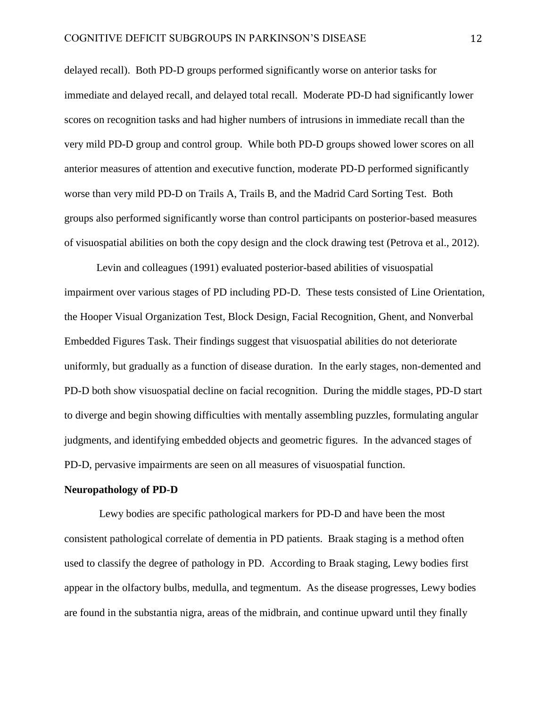delayed recall). Both PD-D groups performed significantly worse on anterior tasks for immediate and delayed recall, and delayed total recall. Moderate PD-D had significantly lower scores on recognition tasks and had higher numbers of intrusions in immediate recall than the very mild PD-D group and control group. While both PD-D groups showed lower scores on all anterior measures of attention and executive function, moderate PD-D performed significantly worse than very mild PD-D on Trails A, Trails B, and the Madrid Card Sorting Test. Both groups also performed significantly worse than control participants on posterior-based measures of visuospatial abilities on both the copy design and the clock drawing test (Petrova et al., 2012).

Levin and colleagues (1991) evaluated posterior-based abilities of visuospatial impairment over various stages of PD including PD-D. These tests consisted of Line Orientation, the Hooper Visual Organization Test, Block Design, Facial Recognition, Ghent, and Nonverbal Embedded Figures Task. Their findings suggest that visuospatial abilities do not deteriorate uniformly, but gradually as a function of disease duration. In the early stages, non-demented and PD-D both show visuospatial decline on facial recognition. During the middle stages, PD-D start to diverge and begin showing difficulties with mentally assembling puzzles, formulating angular judgments, and identifying embedded objects and geometric figures. In the advanced stages of PD-D, pervasive impairments are seen on all measures of visuospatial function.

#### **Neuropathology of PD-D**

Lewy bodies are specific pathological markers for PD-D and have been the most consistent pathological correlate of dementia in PD patients. Braak staging is a method often used to classify the degree of pathology in PD. According to Braak staging, Lewy bodies first appear in the olfactory bulbs, medulla, and tegmentum. As the disease progresses, Lewy bodies are found in the substantia nigra, areas of the midbrain, and continue upward until they finally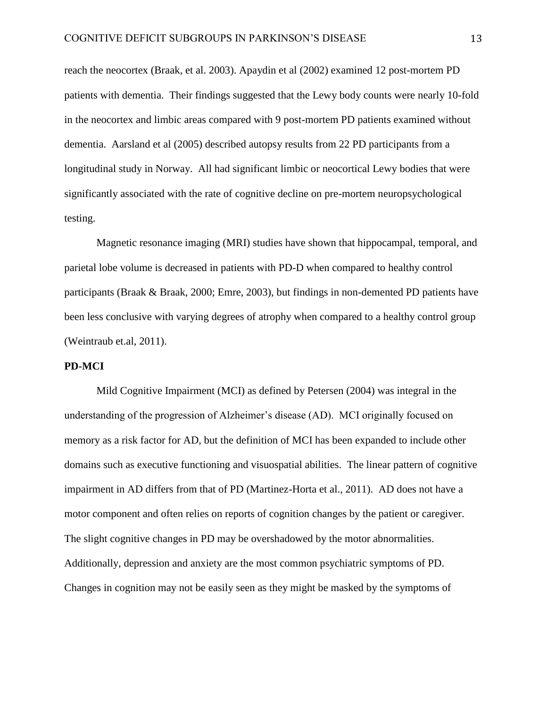reach the neocortex (Braak, et al. 2003). Apaydin et al (2002) examined 12 post-mortem PD patients with dementia. Their findings suggested that the Lewy body counts were nearly 10-fold in the neocortex and limbic areas compared with 9 post-mortem PD patients examined without dementia. Aarsland et al (2005) described autopsy results from 22 PD participants from a longitudinal study in Norway. All had significant limbic or neocortical Lewy bodies that were significantly associated with the rate of cognitive decline on pre-mortem neuropsychological testing.

Magnetic resonance imaging (MRI) studies have shown that hippocampal, temporal, and parietal lobe volume is decreased in patients with PD-D when compared to healthy control participants (Braak & Braak, 2000; Emre, 2003), but findings in non-demented PD patients have been less conclusive with varying degrees of atrophy when compared to a healthy control group (Weintraub et.al, 2011).

## **PD-MCI**

Mild Cognitive Impairment (MCI) as defined by Petersen (2004) was integral in the understanding of the progression of Alzheimer's disease (AD). MCI originally focused on memory as a risk factor for AD, but the definition of MCI has been expanded to include other domains such as executive functioning and visuospatial abilities. The linear pattern of cognitive impairment in AD differs from that of PD (Martinez-Horta et al., 2011). AD does not have a motor component and often relies on reports of cognition changes by the patient or caregiver. The slight cognitive changes in PD may be overshadowed by the motor abnormalities. Additionally, depression and anxiety are the most common psychiatric symptoms of PD. Changes in cognition may not be easily seen as they might be masked by the symptoms of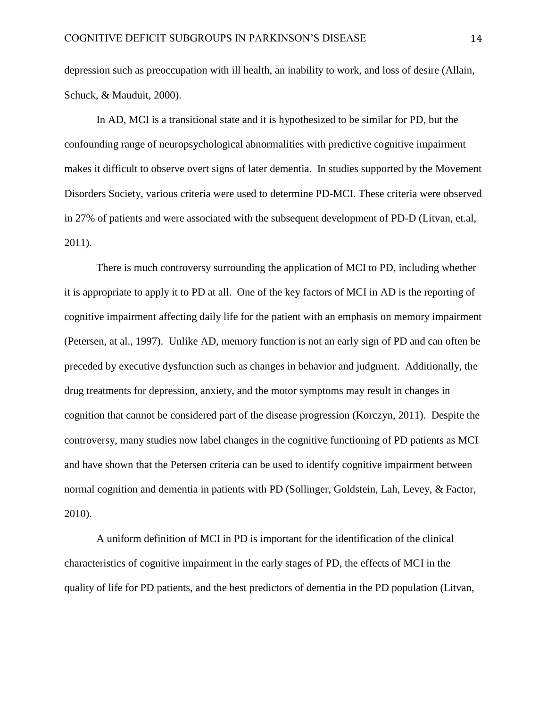depression such as preoccupation with ill health, an inability to work, and loss of desire (Allain, Schuck, & Mauduit, 2000).

In AD, MCI is a transitional state and it is hypothesized to be similar for PD, but the confounding range of neuropsychological abnormalities with predictive cognitive impairment makes it difficult to observe overt signs of later dementia. In studies supported by the Movement Disorders Society, various criteria were used to determine PD-MCI. These criteria were observed in 27% of patients and were associated with the subsequent development of PD-D (Litvan, et.al, 2011).

There is much controversy surrounding the application of MCI to PD, including whether it is appropriate to apply it to PD at all. One of the key factors of MCI in AD is the reporting of cognitive impairment affecting daily life for the patient with an emphasis on memory impairment (Petersen, at al., 1997). Unlike AD, memory function is not an early sign of PD and can often be preceded by executive dysfunction such as changes in behavior and judgment. Additionally, the drug treatments for depression, anxiety, and the motor symptoms may result in changes in cognition that cannot be considered part of the disease progression (Korczyn, 2011). Despite the controversy, many studies now label changes in the cognitive functioning of PD patients as MCI and have shown that the Petersen criteria can be used to identify cognitive impairment between normal cognition and dementia in patients with PD (Sollinger, Goldstein, Lah, Levey, & Factor, 2010).

A uniform definition of MCI in PD is important for the identification of the clinical characteristics of cognitive impairment in the early stages of PD, the effects of MCI in the quality of life for PD patients, and the best predictors of dementia in the PD population (Litvan,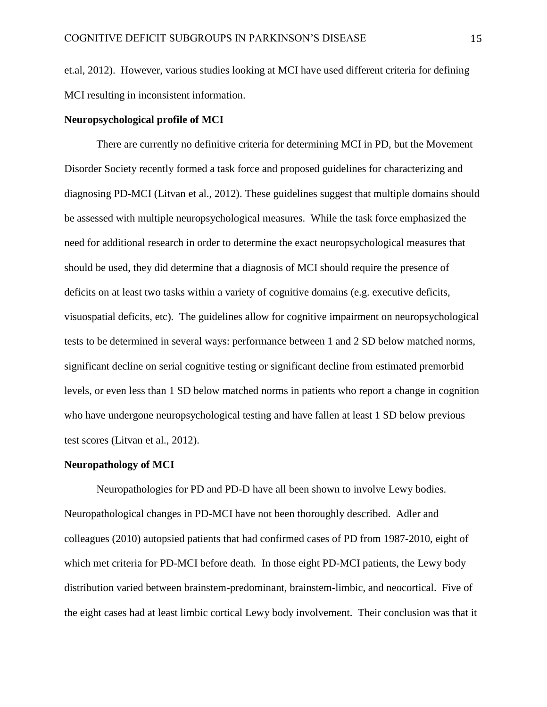et.al, 2012). However, various studies looking at MCI have used different criteria for defining MCI resulting in inconsistent information.

## **Neuropsychological profile of MCI**

There are currently no definitive criteria for determining MCI in PD, but the Movement Disorder Society recently formed a task force and proposed guidelines for characterizing and diagnosing PD-MCI (Litvan et al., 2012). These guidelines suggest that multiple domains should be assessed with multiple neuropsychological measures. While the task force emphasized the need for additional research in order to determine the exact neuropsychological measures that should be used, they did determine that a diagnosis of MCI should require the presence of deficits on at least two tasks within a variety of cognitive domains (e.g. executive deficits, visuospatial deficits, etc). The guidelines allow for cognitive impairment on neuropsychological tests to be determined in several ways: performance between 1 and 2 SD below matched norms, significant decline on serial cognitive testing or significant decline from estimated premorbid levels, or even less than 1 SD below matched norms in patients who report a change in cognition who have undergone neuropsychological testing and have fallen at least 1 SD below previous test scores (Litvan et al., 2012).

### **Neuropathology of MCI**

Neuropathologies for PD and PD-D have all been shown to involve Lewy bodies. Neuropathological changes in PD-MCI have not been thoroughly described. Adler and colleagues (2010) autopsied patients that had confirmed cases of PD from 1987-2010, eight of which met criteria for PD-MCI before death. In those eight PD-MCI patients, the Lewy body distribution varied between brainstem-predominant, brainstem-limbic, and neocortical. Five of the eight cases had at least limbic cortical Lewy body involvement. Their conclusion was that it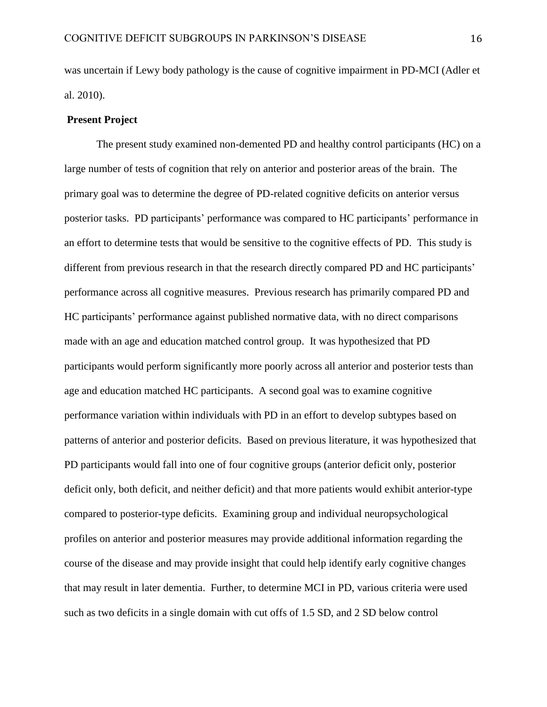was uncertain if Lewy body pathology is the cause of cognitive impairment in PD-MCI (Adler et al. 2010).

## **Present Project**

The present study examined non-demented PD and healthy control participants (HC) on a large number of tests of cognition that rely on anterior and posterior areas of the brain. The primary goal was to determine the degree of PD-related cognitive deficits on anterior versus posterior tasks. PD participants' performance was compared to HC participants' performance in an effort to determine tests that would be sensitive to the cognitive effects of PD. This study is different from previous research in that the research directly compared PD and HC participants' performance across all cognitive measures. Previous research has primarily compared PD and HC participants' performance against published normative data, with no direct comparisons made with an age and education matched control group. It was hypothesized that PD participants would perform significantly more poorly across all anterior and posterior tests than age and education matched HC participants. A second goal was to examine cognitive performance variation within individuals with PD in an effort to develop subtypes based on patterns of anterior and posterior deficits. Based on previous literature, it was hypothesized that PD participants would fall into one of four cognitive groups (anterior deficit only, posterior deficit only, both deficit, and neither deficit) and that more patients would exhibit anterior-type compared to posterior-type deficits. Examining group and individual neuropsychological profiles on anterior and posterior measures may provide additional information regarding the course of the disease and may provide insight that could help identify early cognitive changes that may result in later dementia. Further, to determine MCI in PD, various criteria were used such as two deficits in a single domain with cut offs of 1.5 SD, and 2 SD below control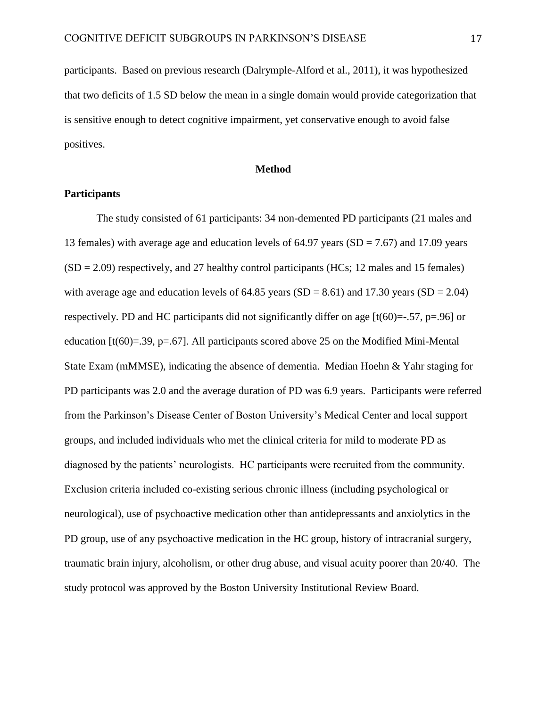participants. Based on previous research (Dalrymple-Alford et al., 2011), it was hypothesized that two deficits of 1.5 SD below the mean in a single domain would provide categorization that is sensitive enough to detect cognitive impairment, yet conservative enough to avoid false positives.

## **Method**

## **Participants**

The study consisted of 61 participants: 34 non-demented PD participants (21 males and 13 females) with average age and education levels of 64.97 years ( $SD = 7.67$ ) and 17.09 years  $(SD = 2.09)$  respectively, and 27 healthy control participants (HCs; 12 males and 15 females) with average age and education levels of  $64.85$  years  $(SD = 8.61)$  and  $17.30$  years  $(SD = 2.04)$ respectively. PD and HC participants did not significantly differ on age  $[t(60)=-.57, p=.96]$  or education  $[t(60)=.39, p=.67]$ . All participants scored above 25 on the Modified Mini-Mental State Exam (mMMSE), indicating the absence of dementia. Median Hoehn & Yahr staging for PD participants was 2.0 and the average duration of PD was 6.9 years. Participants were referred from the Parkinson's Disease Center of Boston University's Medical Center and local support groups, and included individuals who met the clinical criteria for mild to moderate PD as diagnosed by the patients' neurologists. HC participants were recruited from the community. Exclusion criteria included co-existing serious chronic illness (including psychological or neurological), use of psychoactive medication other than antidepressants and anxiolytics in the PD group, use of any psychoactive medication in the HC group, history of intracranial surgery, traumatic brain injury, alcoholism, or other drug abuse, and visual acuity poorer than 20/40. The study protocol was approved by the Boston University Institutional Review Board.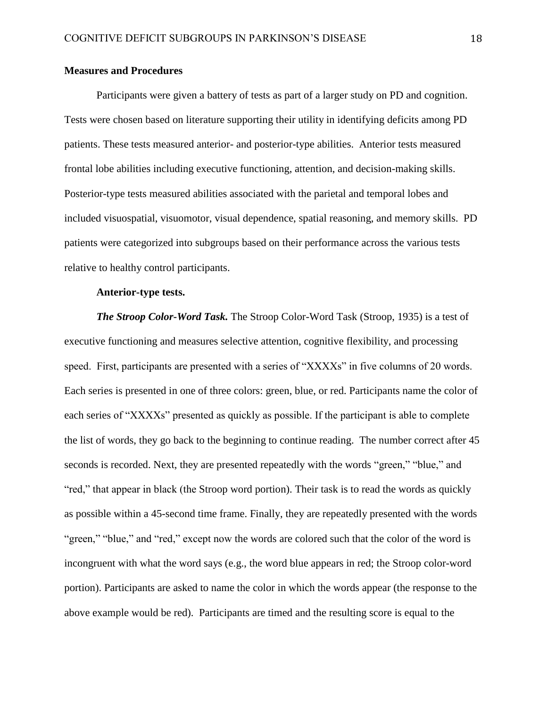## **Measures and Procedures**

Participants were given a battery of tests as part of a larger study on PD and cognition. Tests were chosen based on literature supporting their utility in identifying deficits among PD patients. These tests measured anterior- and posterior-type abilities. Anterior tests measured frontal lobe abilities including executive functioning, attention, and decision-making skills. Posterior-type tests measured abilities associated with the parietal and temporal lobes and included visuospatial, visuomotor, visual dependence, spatial reasoning, and memory skills. PD patients were categorized into subgroups based on their performance across the various tests relative to healthy control participants.

## **Anterior-type tests.**

*The Stroop Color-Word Task.* The Stroop Color-Word Task (Stroop, 1935) is a test of executive functioning and measures selective attention, cognitive flexibility, and processing speed. First, participants are presented with a series of "XXXXs" in five columns of 20 words. Each series is presented in one of three colors: green, blue, or red. Participants name the color of each series of "XXXXs" presented as quickly as possible. If the participant is able to complete the list of words, they go back to the beginning to continue reading. The number correct after 45 seconds is recorded. Next, they are presented repeatedly with the words "green," "blue," and "red," that appear in black (the Stroop word portion). Their task is to read the words as quickly as possible within a 45-second time frame. Finally, they are repeatedly presented with the words "green," "blue," and "red," except now the words are colored such that the color of the word is incongruent with what the word says (e.g., the word blue appears in red; the Stroop color-word portion). Participants are asked to name the color in which the words appear (the response to the above example would be red). Participants are timed and the resulting score is equal to the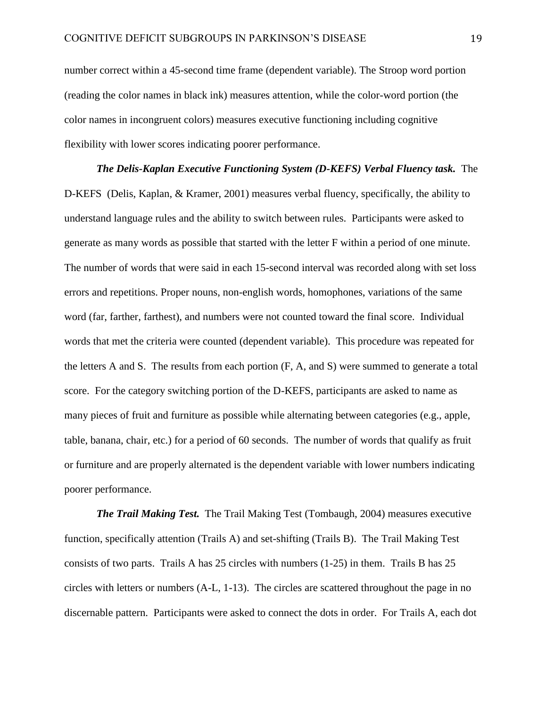number correct within a 45-second time frame (dependent variable). The Stroop word portion (reading the color names in black ink) measures attention, while the color-word portion (the color names in incongruent colors) measures executive functioning including cognitive flexibility with lower scores indicating poorer performance.

*The Delis-Kaplan Executive Functioning System (D-KEFS) Verbal Fluency task.* The D-KEFS (Delis, Kaplan, & Kramer, 2001) measures verbal fluency, specifically, the ability to understand language rules and the ability to switch between rules. Participants were asked to generate as many words as possible that started with the letter F within a period of one minute. The number of words that were said in each 15-second interval was recorded along with set loss errors and repetitions. Proper nouns, non-english words, homophones, variations of the same word (far, farther, farthest), and numbers were not counted toward the final score. Individual words that met the criteria were counted (dependent variable). This procedure was repeated for the letters A and S. The results from each portion (F, A, and S) were summed to generate a total score. For the category switching portion of the D-KEFS, participants are asked to name as many pieces of fruit and furniture as possible while alternating between categories (e.g., apple, table, banana, chair, etc.) for a period of 60 seconds. The number of words that qualify as fruit or furniture and are properly alternated is the dependent variable with lower numbers indicating poorer performance.

*The Trail Making Test.* The Trail Making Test (Tombaugh, 2004) measures executive function, specifically attention (Trails A) and set-shifting (Trails B). The Trail Making Test consists of two parts. Trails A has 25 circles with numbers (1-25) in them. Trails B has 25 circles with letters or numbers (A-L, 1-13). The circles are scattered throughout the page in no discernable pattern. Participants were asked to connect the dots in order. For Trails A, each dot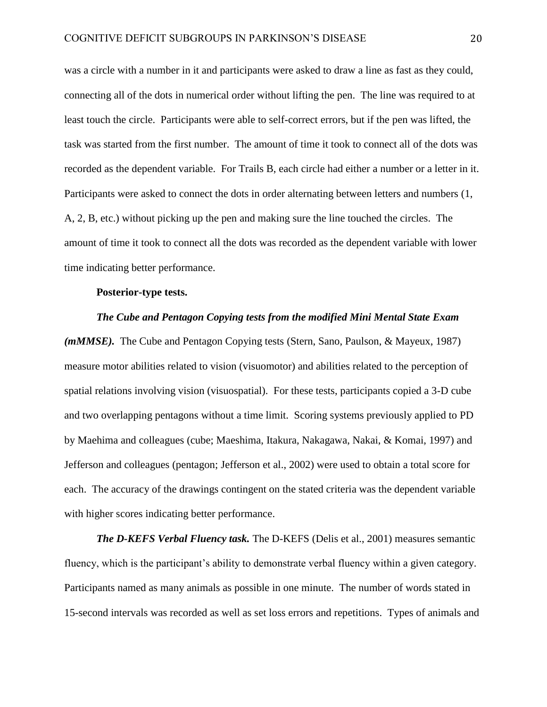was a circle with a number in it and participants were asked to draw a line as fast as they could, connecting all of the dots in numerical order without lifting the pen. The line was required to at least touch the circle. Participants were able to self-correct errors, but if the pen was lifted, the task was started from the first number. The amount of time it took to connect all of the dots was recorded as the dependent variable. For Trails B, each circle had either a number or a letter in it. Participants were asked to connect the dots in order alternating between letters and numbers (1, A, 2, B, etc.) without picking up the pen and making sure the line touched the circles. The amount of time it took to connect all the dots was recorded as the dependent variable with lower time indicating better performance.

## **Posterior-type tests.**

## *The Cube and Pentagon Copying tests from the modified Mini Mental State Exam*

*(mMMSE).* The Cube and Pentagon Copying tests (Stern, Sano, Paulson, & Mayeux, 1987) measure motor abilities related to vision (visuomotor) and abilities related to the perception of spatial relations involving vision (visuospatial). For these tests, participants copied a 3-D cube and two overlapping pentagons without a time limit. Scoring systems previously applied to PD by Maehima and colleagues (cube; Maeshima, Itakura, Nakagawa, Nakai, & Komai, 1997) and Jefferson and colleagues (pentagon; Jefferson et al., 2002) were used to obtain a total score for each. The accuracy of the drawings contingent on the stated criteria was the dependent variable with higher scores indicating better performance.

*The D-KEFS Verbal Fluency task.* The D-KEFS (Delis et al., 2001) measures semantic fluency, which is the participant's ability to demonstrate verbal fluency within a given category. Participants named as many animals as possible in one minute. The number of words stated in 15-second intervals was recorded as well as set loss errors and repetitions. Types of animals and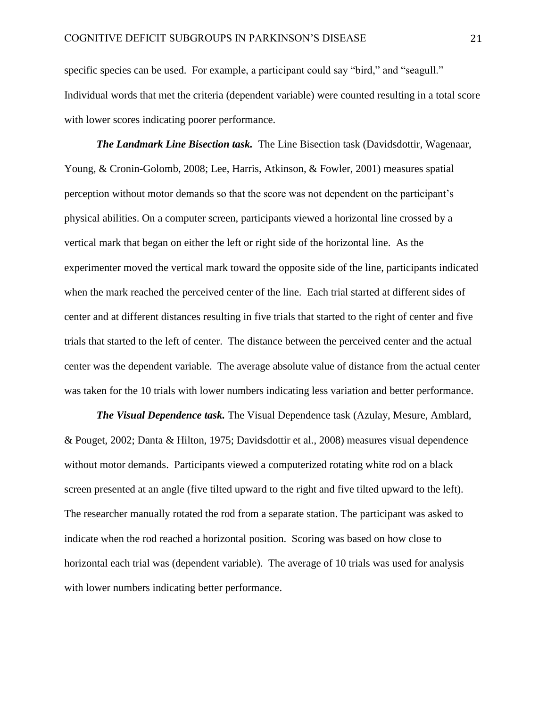specific species can be used. For example, a participant could say "bird," and "seagull." Individual words that met the criteria (dependent variable) were counted resulting in a total score with lower scores indicating poorer performance.

*The Landmark Line Bisection task.* The Line Bisection task (Davidsdottir, Wagenaar, Young, & Cronin-Golomb, 2008; Lee, Harris, Atkinson, & Fowler, 2001) measures spatial perception without motor demands so that the score was not dependent on the participant's physical abilities. On a computer screen, participants viewed a horizontal line crossed by a vertical mark that began on either the left or right side of the horizontal line. As the experimenter moved the vertical mark toward the opposite side of the line, participants indicated when the mark reached the perceived center of the line. Each trial started at different sides of center and at different distances resulting in five trials that started to the right of center and five trials that started to the left of center. The distance between the perceived center and the actual center was the dependent variable. The average absolute value of distance from the actual center was taken for the 10 trials with lower numbers indicating less variation and better performance.

*The Visual Dependence task.* The Visual Dependence task (Azulay, Mesure, Amblard, & Pouget, 2002; Danta & Hilton, 1975; Davidsdottir et al., 2008) measures visual dependence without motor demands. Participants viewed a computerized rotating white rod on a black screen presented at an angle (five tilted upward to the right and five tilted upward to the left). The researcher manually rotated the rod from a separate station. The participant was asked to indicate when the rod reached a horizontal position. Scoring was based on how close to horizontal each trial was (dependent variable). The average of 10 trials was used for analysis with lower numbers indicating better performance.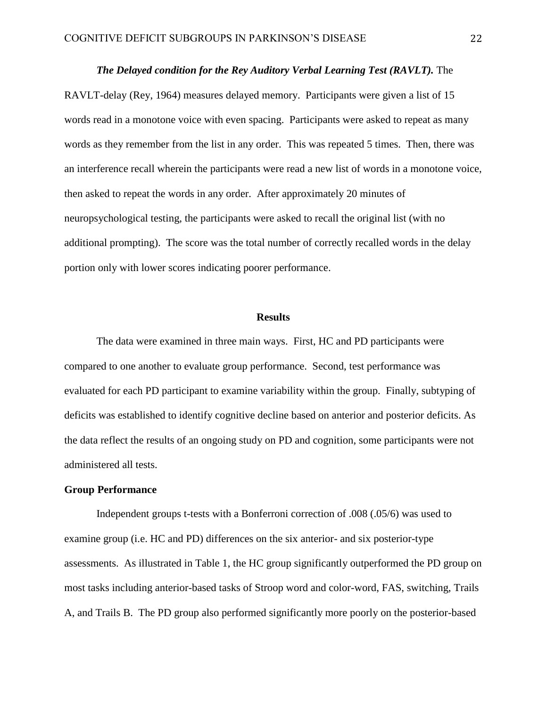#### *The Delayed condition for the Rey Auditory Verbal Learning Test (RAVLT).* The

RAVLT-delay (Rey, 1964) measures delayed memory. Participants were given a list of 15 words read in a monotone voice with even spacing. Participants were asked to repeat as many words as they remember from the list in any order. This was repeated 5 times. Then, there was an interference recall wherein the participants were read a new list of words in a monotone voice, then asked to repeat the words in any order. After approximately 20 minutes of neuropsychological testing, the participants were asked to recall the original list (with no additional prompting). The score was the total number of correctly recalled words in the delay portion only with lower scores indicating poorer performance.

#### **Results**

The data were examined in three main ways. First, HC and PD participants were compared to one another to evaluate group performance. Second, test performance was evaluated for each PD participant to examine variability within the group. Finally, subtyping of deficits was established to identify cognitive decline based on anterior and posterior deficits. As the data reflect the results of an ongoing study on PD and cognition, some participants were not administered all tests.

## **Group Performance**

Independent groups t-tests with a Bonferroni correction of .008 (.05/6) was used to examine group (i.e. HC and PD) differences on the six anterior- and six posterior-type assessments. As illustrated in Table 1, the HC group significantly outperformed the PD group on most tasks including anterior-based tasks of Stroop word and color-word, FAS, switching, Trails A, and Trails B. The PD group also performed significantly more poorly on the posterior-based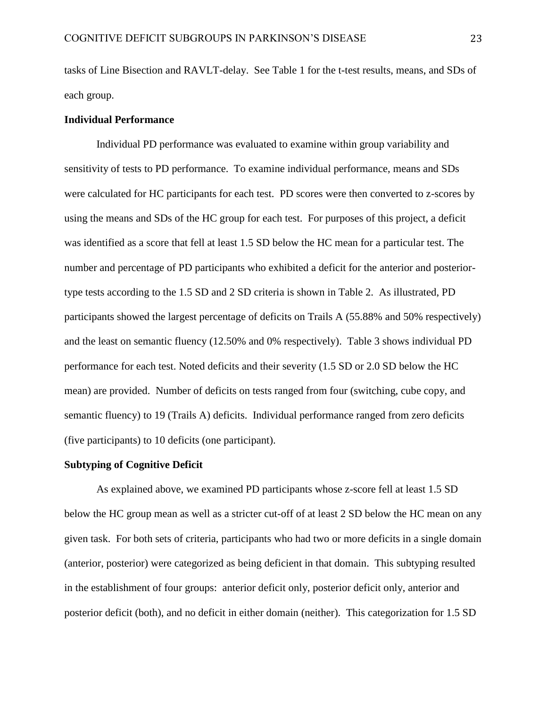tasks of Line Bisection and RAVLT-delay. See Table 1 for the t-test results, means, and SDs of each group.

# **Individual Performance**

Individual PD performance was evaluated to examine within group variability and sensitivity of tests to PD performance. To examine individual performance, means and SDs were calculated for HC participants for each test. PD scores were then converted to z-scores by using the means and SDs of the HC group for each test. For purposes of this project, a deficit was identified as a score that fell at least 1.5 SD below the HC mean for a particular test. The number and percentage of PD participants who exhibited a deficit for the anterior and posteriortype tests according to the 1.5 SD and 2 SD criteria is shown in Table 2. As illustrated, PD participants showed the largest percentage of deficits on Trails A (55.88% and 50% respectively) and the least on semantic fluency (12.50% and 0% respectively). Table 3 shows individual PD performance for each test. Noted deficits and their severity (1.5 SD or 2.0 SD below the HC mean) are provided. Number of deficits on tests ranged from four (switching, cube copy, and semantic fluency) to 19 (Trails A) deficits. Individual performance ranged from zero deficits (five participants) to 10 deficits (one participant).

## **Subtyping of Cognitive Deficit**

As explained above, we examined PD participants whose z-score fell at least 1.5 SD below the HC group mean as well as a stricter cut-off of at least 2 SD below the HC mean on any given task. For both sets of criteria, participants who had two or more deficits in a single domain (anterior, posterior) were categorized as being deficient in that domain. This subtyping resulted in the establishment of four groups: anterior deficit only, posterior deficit only, anterior and posterior deficit (both), and no deficit in either domain (neither). This categorization for 1.5 SD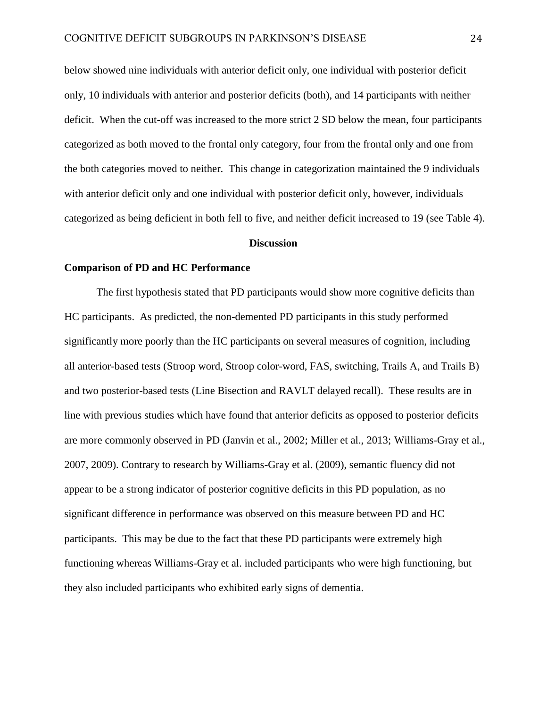below showed nine individuals with anterior deficit only, one individual with posterior deficit only, 10 individuals with anterior and posterior deficits (both), and 14 participants with neither deficit. When the cut-off was increased to the more strict 2 SD below the mean, four participants categorized as both moved to the frontal only category, four from the frontal only and one from the both categories moved to neither. This change in categorization maintained the 9 individuals with anterior deficit only and one individual with posterior deficit only, however, individuals categorized as being deficient in both fell to five, and neither deficit increased to 19 (see Table 4).

#### **Discussion**

## **Comparison of PD and HC Performance**

The first hypothesis stated that PD participants would show more cognitive deficits than HC participants. As predicted, the non-demented PD participants in this study performed significantly more poorly than the HC participants on several measures of cognition, including all anterior-based tests (Stroop word, Stroop color-word, FAS, switching, Trails A, and Trails B) and two posterior-based tests (Line Bisection and RAVLT delayed recall). These results are in line with previous studies which have found that anterior deficits as opposed to posterior deficits are more commonly observed in PD (Janvin et al., 2002; Miller et al., 2013; Williams-Gray et al., 2007, 2009). Contrary to research by Williams-Gray et al. (2009), semantic fluency did not appear to be a strong indicator of posterior cognitive deficits in this PD population, as no significant difference in performance was observed on this measure between PD and HC participants. This may be due to the fact that these PD participants were extremely high functioning whereas Williams-Gray et al. included participants who were high functioning, but they also included participants who exhibited early signs of dementia.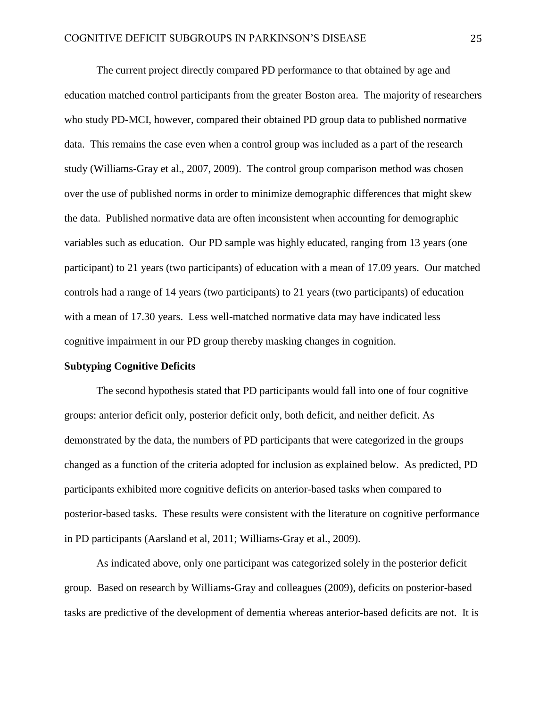The current project directly compared PD performance to that obtained by age and education matched control participants from the greater Boston area. The majority of researchers who study PD-MCI, however, compared their obtained PD group data to published normative data. This remains the case even when a control group was included as a part of the research study (Williams-Gray et al., 2007, 2009). The control group comparison method was chosen over the use of published norms in order to minimize demographic differences that might skew the data. Published normative data are often inconsistent when accounting for demographic variables such as education. Our PD sample was highly educated, ranging from 13 years (one participant) to 21 years (two participants) of education with a mean of 17.09 years. Our matched controls had a range of 14 years (two participants) to 21 years (two participants) of education with a mean of 17.30 years. Less well-matched normative data may have indicated less cognitive impairment in our PD group thereby masking changes in cognition.

### **Subtyping Cognitive Deficits**

The second hypothesis stated that PD participants would fall into one of four cognitive groups: anterior deficit only, posterior deficit only, both deficit, and neither deficit. As demonstrated by the data, the numbers of PD participants that were categorized in the groups changed as a function of the criteria adopted for inclusion as explained below. As predicted, PD participants exhibited more cognitive deficits on anterior-based tasks when compared to posterior-based tasks. These results were consistent with the literature on cognitive performance in PD participants (Aarsland et al, 2011; Williams-Gray et al., 2009).

As indicated above, only one participant was categorized solely in the posterior deficit group. Based on research by Williams-Gray and colleagues (2009), deficits on posterior-based tasks are predictive of the development of dementia whereas anterior-based deficits are not. It is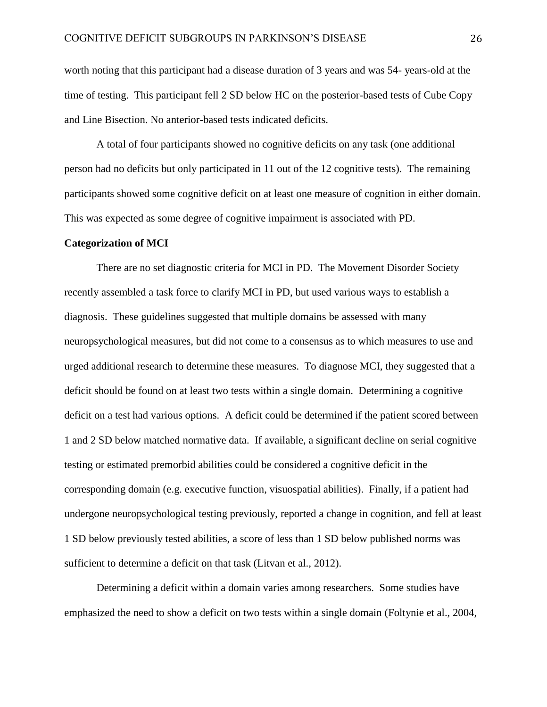worth noting that this participant had a disease duration of 3 years and was 54- years-old at the time of testing. This participant fell 2 SD below HC on the posterior-based tests of Cube Copy and Line Bisection. No anterior-based tests indicated deficits.

A total of four participants showed no cognitive deficits on any task (one additional person had no deficits but only participated in 11 out of the 12 cognitive tests). The remaining participants showed some cognitive deficit on at least one measure of cognition in either domain. This was expected as some degree of cognitive impairment is associated with PD.

#### **Categorization of MCI**

There are no set diagnostic criteria for MCI in PD. The Movement Disorder Society recently assembled a task force to clarify MCI in PD, but used various ways to establish a diagnosis. These guidelines suggested that multiple domains be assessed with many neuropsychological measures, but did not come to a consensus as to which measures to use and urged additional research to determine these measures. To diagnose MCI, they suggested that a deficit should be found on at least two tests within a single domain. Determining a cognitive deficit on a test had various options. A deficit could be determined if the patient scored between 1 and 2 SD below matched normative data. If available, a significant decline on serial cognitive testing or estimated premorbid abilities could be considered a cognitive deficit in the corresponding domain (e.g. executive function, visuospatial abilities). Finally, if a patient had undergone neuropsychological testing previously, reported a change in cognition, and fell at least 1 SD below previously tested abilities, a score of less than 1 SD below published norms was sufficient to determine a deficit on that task (Litvan et al., 2012).

Determining a deficit within a domain varies among researchers. Some studies have emphasized the need to show a deficit on two tests within a single domain (Foltynie et al., 2004,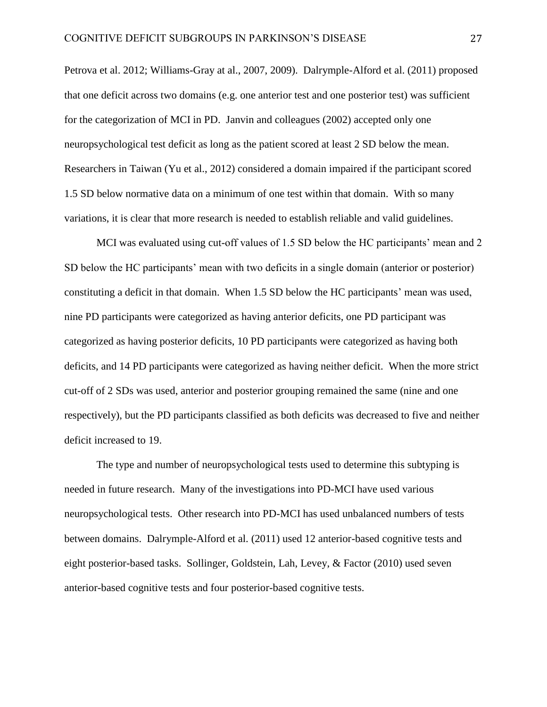Petrova et al. 2012; Williams-Gray at al., 2007, 2009). Dalrymple-Alford et al. (2011) proposed that one deficit across two domains (e.g. one anterior test and one posterior test) was sufficient for the categorization of MCI in PD. Janvin and colleagues (2002) accepted only one neuropsychological test deficit as long as the patient scored at least 2 SD below the mean. Researchers in Taiwan (Yu et al., 2012) considered a domain impaired if the participant scored 1.5 SD below normative data on a minimum of one test within that domain. With so many variations, it is clear that more research is needed to establish reliable and valid guidelines.

MCI was evaluated using cut-off values of 1.5 SD below the HC participants' mean and 2 SD below the HC participants' mean with two deficits in a single domain (anterior or posterior) constituting a deficit in that domain. When 1.5 SD below the HC participants' mean was used, nine PD participants were categorized as having anterior deficits, one PD participant was categorized as having posterior deficits, 10 PD participants were categorized as having both deficits, and 14 PD participants were categorized as having neither deficit. When the more strict cut-off of 2 SDs was used, anterior and posterior grouping remained the same (nine and one respectively), but the PD participants classified as both deficits was decreased to five and neither deficit increased to 19.

The type and number of neuropsychological tests used to determine this subtyping is needed in future research. Many of the investigations into PD-MCI have used various neuropsychological tests. Other research into PD-MCI has used unbalanced numbers of tests between domains. Dalrymple-Alford et al. (2011) used 12 anterior-based cognitive tests and eight posterior-based tasks. Sollinger, Goldstein, Lah, Levey, & Factor (2010) used seven anterior-based cognitive tests and four posterior-based cognitive tests.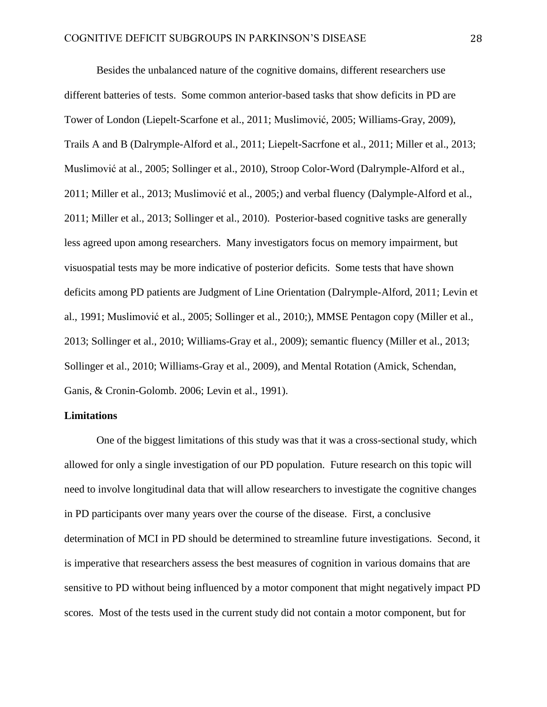Besides the unbalanced nature of the cognitive domains, different researchers use different batteries of tests. Some common anterior-based tasks that show deficits in PD are Tower of London (Liepelt-Scarfone et al., 2011; Muslimović, 2005; Williams-Gray, 2009), Trails A and B (Dalrymple-Alford et al., 2011; Liepelt-Sacrfone et al., 2011; Miller et al., 2013; Muslimović at al., 2005; Sollinger et al., 2010), Stroop Color-Word (Dalrymple-Alford et al., 2011; Miller et al., 2013; Muslimović et al., 2005;) and verbal fluency (Dalymple-Alford et al., 2011; Miller et al., 2013; Sollinger et al., 2010). Posterior-based cognitive tasks are generally less agreed upon among researchers. Many investigators focus on memory impairment, but visuospatial tests may be more indicative of posterior deficits. Some tests that have shown deficits among PD patients are Judgment of Line Orientation (Dalrymple-Alford, 2011; Levin et al., 1991; Muslimović et al., 2005; Sollinger et al., 2010;), MMSE Pentagon copy (Miller et al., 2013; Sollinger et al., 2010; Williams-Gray et al., 2009); semantic fluency (Miller et al., 2013; Sollinger et al., 2010; Williams-Gray et al., 2009), and Mental Rotation (Amick, Schendan, Ganis, & Cronin-Golomb. 2006; Levin et al., 1991).

#### **Limitations**

One of the biggest limitations of this study was that it was a cross-sectional study, which allowed for only a single investigation of our PD population. Future research on this topic will need to involve longitudinal data that will allow researchers to investigate the cognitive changes in PD participants over many years over the course of the disease. First, a conclusive determination of MCI in PD should be determined to streamline future investigations. Second, it is imperative that researchers assess the best measures of cognition in various domains that are sensitive to PD without being influenced by a motor component that might negatively impact PD scores. Most of the tests used in the current study did not contain a motor component, but for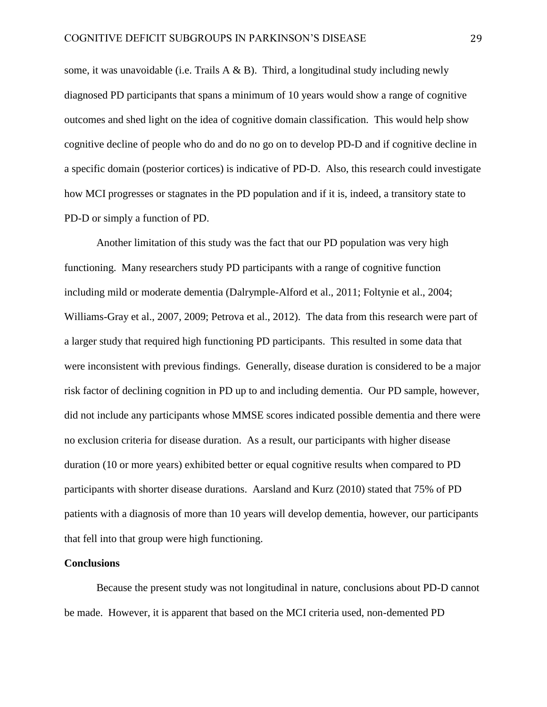some, it was unavoidable (i.e. Trails  $A \& B$ ). Third, a longitudinal study including newly diagnosed PD participants that spans a minimum of 10 years would show a range of cognitive outcomes and shed light on the idea of cognitive domain classification. This would help show cognitive decline of people who do and do no go on to develop PD-D and if cognitive decline in a specific domain (posterior cortices) is indicative of PD-D. Also, this research could investigate how MCI progresses or stagnates in the PD population and if it is, indeed, a transitory state to PD-D or simply a function of PD.

Another limitation of this study was the fact that our PD population was very high functioning. Many researchers study PD participants with a range of cognitive function including mild or moderate dementia (Dalrymple-Alford et al., 2011; Foltynie et al., 2004; Williams-Gray et al., 2007, 2009; Petrova et al., 2012). The data from this research were part of a larger study that required high functioning PD participants. This resulted in some data that were inconsistent with previous findings. Generally, disease duration is considered to be a major risk factor of declining cognition in PD up to and including dementia. Our PD sample, however, did not include any participants whose MMSE scores indicated possible dementia and there were no exclusion criteria for disease duration. As a result, our participants with higher disease duration (10 or more years) exhibited better or equal cognitive results when compared to PD participants with shorter disease durations. Aarsland and Kurz (2010) stated that 75% of PD patients with a diagnosis of more than 10 years will develop dementia, however, our participants that fell into that group were high functioning.

#### **Conclusions**

Because the present study was not longitudinal in nature, conclusions about PD-D cannot be made. However, it is apparent that based on the MCI criteria used, non-demented PD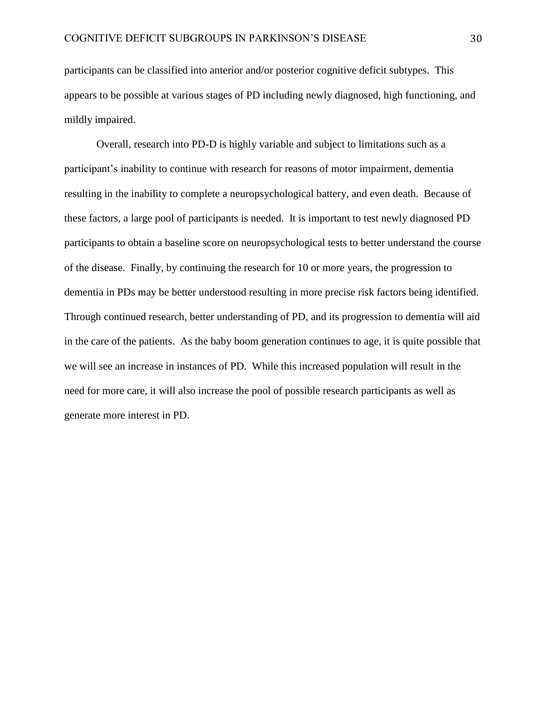participants can be classified into anterior and/or posterior cognitive deficit subtypes. This appears to be possible at various stages of PD including newly diagnosed, high functioning, and mildly impaired.

Overall, research into PD-D is highly variable and subject to limitations such as a participant's inability to continue with research for reasons of motor impairment, dementia resulting in the inability to complete a neuropsychological battery, and even death. Because of these factors, a large pool of participants is needed. It is important to test newly diagnosed PD participants to obtain a baseline score on neuropsychological tests to better understand the course of the disease. Finally, by continuing the research for 10 or more years, the progression to dementia in PDs may be better understood resulting in more precise risk factors being identified. Through continued research, better understanding of PD, and its progression to dementia will aid in the care of the patients. As the baby boom generation continues to age, it is quite possible that we will see an increase in instances of PD. While this increased population will result in the need for more care, it will also increase the pool of possible research participants as well as generate more interest in PD.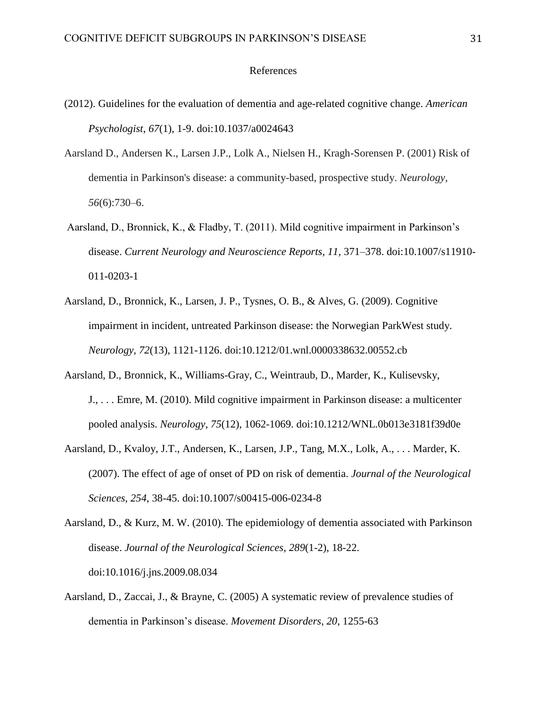## References

- (2012). Guidelines for the evaluation of dementia and age-related cognitive change. *American Psychologist*, *67*(1), 1-9. doi:10.1037/a0024643
- Aarsland D., Andersen K., Larsen J.P., Lolk A., Nielsen H., Kragh-Sorensen P. (2001) Risk of dementia in Parkinson's disease: a community-based, prospective study. *Neurology, 56*(6):730–6.
- Aarsland, D., Bronnick, K., & Fladby, T. (2011). Mild cognitive impairment in Parkinson's disease. *Current Neurology and Neuroscience Reports, 11,* 371–378. doi:10.1007/s11910- 011-0203-1
- Aarsland, D., Bronnick, K., Larsen, J. P., Tysnes, O. B., & Alves, G. (2009). Cognitive impairment in incident, untreated Parkinson disease: the Norwegian ParkWest study. *Neurology*, *72*(13), 1121-1126. doi:10.1212/01.wnl.0000338632.00552.cb
- Aarsland, D., Bronnick, K., Williams-Gray, C., Weintraub, D., Marder, K., Kulisevsky, J., . . . Emre, M. (2010). Mild cognitive impairment in Parkinson disease: a multicenter pooled analysis. *Neurology*, *75*(12), 1062-1069. doi:10.1212/WNL.0b013e3181f39d0e
- Aarsland, D., Kvaloy, J.T., Andersen, K., Larsen, J.P., Tang, M.X., Lolk, A., . . . Marder, K. (2007). The effect of age of onset of PD on risk of dementia. *Journal of the Neurological Sciences*, *254*, 38-45. doi:10.1007/s00415-006-0234-8
- Aarsland, D., & Kurz, M. W. (2010). The epidemiology of dementia associated with Parkinson disease. *Journal of the Neurological Sciences*, *289*(1-2), 18-22. doi:10.1016/j.jns.2009.08.034
- Aarsland, D., Zaccai, J., & Brayne, C. (2005) A systematic review of prevalence studies of dementia in Parkinson's disease. *Movement Disorders*, *20*, 1255-63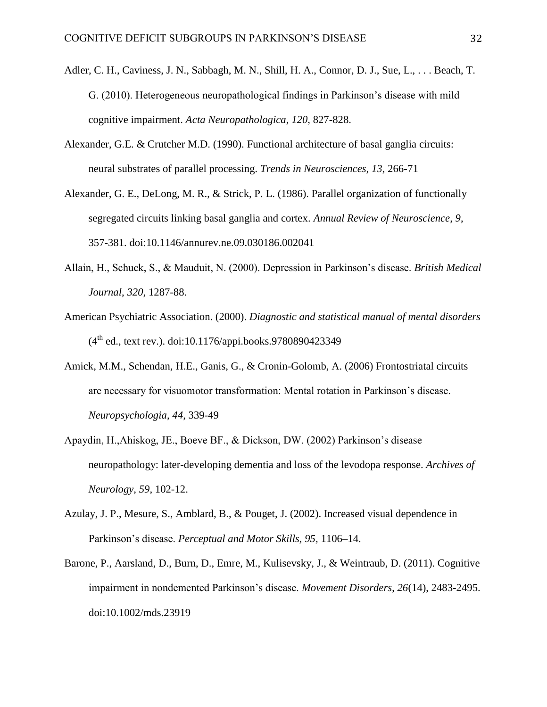- Adler, C. H., Caviness, J. N., Sabbagh, M. N., Shill, H. A., Connor, D. J., Sue, L., ... Beach, T. G. (2010). Heterogeneous neuropathological findings in Parkinson's disease with mild cognitive impairment. *Acta Neuropathologica*, *120*, 827-828.
- Alexander, G.E. & Crutcher M.D. (1990). Functional architecture of basal ganglia circuits: neural substrates of parallel processing. *Trends in Neurosciences*, *13*, 266-71
- Alexander, G. E., DeLong, M. R., & Strick, P. L. (1986). Parallel organization of functionally segregated circuits linking basal ganglia and cortex. *Annual Review of Neuroscience*, *9*, 357-381. doi:10.1146/annurev.ne.09.030186.002041
- Allain, H., Schuck, S., & Mauduit, N. (2000). Depression in Parkinson's disease. *British Medical Journal*, *320*, 1287-88.
- American Psychiatric Association. (2000). *Diagnostic and statistical manual of mental disorders*   $(4<sup>th</sup>$  ed., text rev.). doi:10.1176/appi.books.9780890423349
- Amick, M.M., Schendan, H.E., Ganis, G., & Cronin-Golomb, A. (2006) Frontostriatal circuits are necessary for visuomotor transformation: Mental rotation in Parkinson's disease. *Neuropsychologia*, *44*, 339-49
- Apaydin, H.,Ahiskog, JE., Boeve BF., & Dickson, DW. (2002) Parkinson's disease neuropathology: later-developing dementia and loss of the levodopa response. *Archives of Neurology*, *59*, 102-12.
- Azulay, J. P., Mesure, S., Amblard, B., & Pouget, J. (2002). Increased visual dependence in Parkinson's disease. *Perceptual and Motor Skills, 95,* 1106–14.
- Barone, P., Aarsland, D., Burn, D., Emre, M., Kulisevsky, J., & Weintraub, D. (2011). Cognitive impairment in nondemented Parkinson's disease. *Movement Disorders*, *26*(14), 2483-2495. doi:10.1002/mds.23919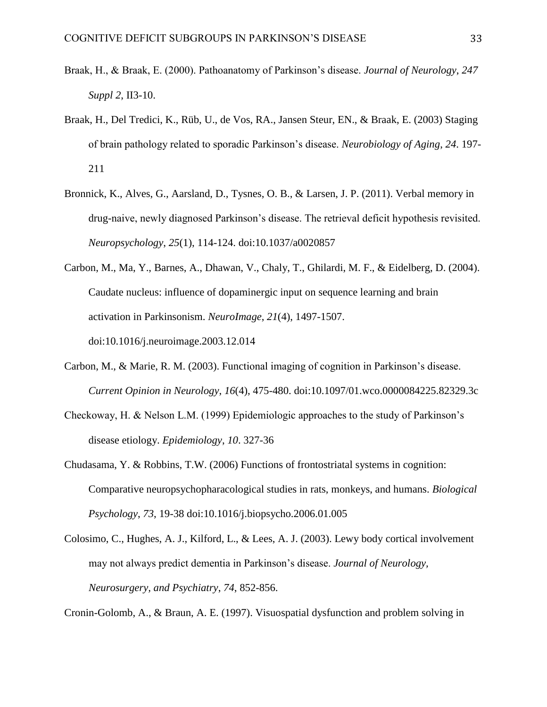- Braak, H., & Braak, E. (2000). Pathoanatomy of Parkinson's disease. *Journal of Neurology*, *247 Suppl 2*, II3-10.
- Braak, H., Del Tredici, K., Rüb, U., de Vos, RA., Jansen Steur, EN., & Braak, E. (2003) Staging of brain pathology related to sporadic Parkinson's disease. *Neurobiology of Aging*, *24*. 197- 211
- Bronnick, K., Alves, G., Aarsland, D., Tysnes, O. B., & Larsen, J. P. (2011). Verbal memory in drug-naive, newly diagnosed Parkinson's disease. The retrieval deficit hypothesis revisited. *Neuropsychology*, *25*(1), 114-124. doi:10.1037/a0020857
- Carbon, M., Ma, Y., Barnes, A., Dhawan, V., Chaly, T., Ghilardi, M. F., & Eidelberg, D. (2004). Caudate nucleus: influence of dopaminergic input on sequence learning and brain activation in Parkinsonism. *NeuroImage*, *21*(4), 1497-1507. doi:10.1016/j.neuroimage.2003.12.014
- Carbon, M., & Marie, R. M. (2003). Functional imaging of cognition in Parkinson's disease. *Current Opinion in Neurology*, *16*(4), 475-480. doi:10.1097/01.wco.0000084225.82329.3c
- Checkoway, H. & Nelson L.M. (1999) Epidemiologic approaches to the study of Parkinson's disease etiology. *Epidemiology*, *10*. 327-36
- Chudasama, Y. & Robbins, T.W. (2006) Functions of frontostriatal systems in cognition: Comparative neuropsychopharacological studies in rats, monkeys, and humans. *Biological Psychology*, *73*, 19-38 doi:10.1016/j.biopsycho.2006.01.005
- Colosimo, C., Hughes, A. J., Kilford, L., & Lees, A. J. (2003). Lewy body cortical involvement may not always predict dementia in Parkinson's disease. *Journal of Neurology, Neurosurgery, and Psychiatry*, *74*, 852-856.

Cronin-Golomb, A., & Braun, A. E. (1997). Visuospatial dysfunction and problem solving in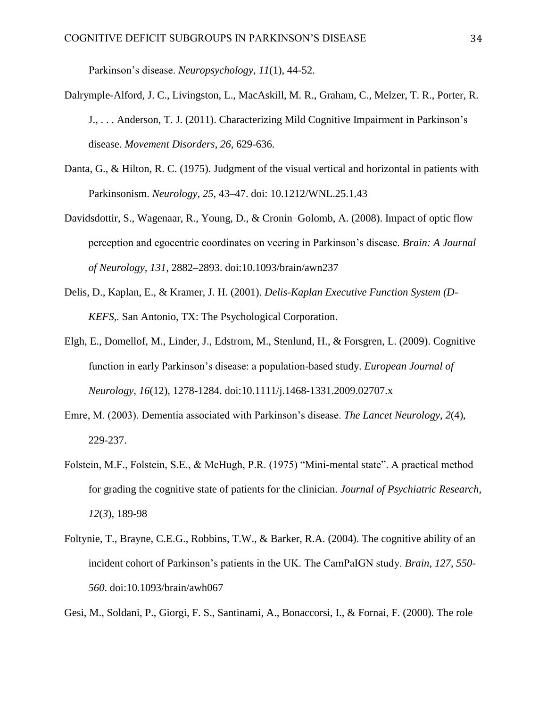Parkinson's disease. *Neuropsychology*, *11*(1), 44-52.

- Dalrymple-Alford, J. C., Livingston, L., MacAskill, M. R., Graham, C., Melzer, T. R., Porter, R. J., . . . Anderson, T. J. (2011). Characterizing Mild Cognitive Impairment in Parkinson's disease. *Movement Disorders*, *26*, 629-636.
- Danta, G., & Hilton, R. C. (1975). Judgment of the visual vertical and horizontal in patients with Parkinsonism. *Neurology, 25,* 43–47. doi: 10.1212/WNL.25.1.43
- Davidsdottir, S., Wagenaar, R., Young, D., & Cronin–Golomb, A. (2008). Impact of optic flow perception and egocentric coordinates on veering in Parkinson's disease. *Brain: A Journal of Neurology, 131,* 2882–2893. doi:10.1093/brain/awn237
- Delis, D., Kaplan, E., & Kramer, J. H. (2001). *Delis-Kaplan Executive Function System (D-KEFS,.* San Antonio, TX: The Psychological Corporation.
- Elgh, E., Domellof, M., Linder, J., Edstrom, M., Stenlund, H., & Forsgren, L. (2009). Cognitive function in early Parkinson's disease: a population-based study. *European Journal of Neurology*, *16*(12), 1278-1284. doi:10.1111/j.1468-1331.2009.02707.x
- Emre, M. (2003). Dementia associated with Parkinson's disease. *The Lancet Neurology*, *2*(4), 229-237.
- Folstein, M.F., Folstein, S.E., & McHugh, P.R. (1975) "Mini-mental state". A practical method for grading the cognitive state of patients for the clinician. *Journal of Psychiatric Research, 12*(*3*), 189-98
- Foltynie, T., Brayne, C.E.G., Robbins, T.W., & Barker, R.A. (2004). The cognitive ability of an incident cohort of Parkinson's patients in the UK. The CamPaIGN study. *Brain*, *127*, *550- 560*. doi:10.1093/brain/awh067

Gesi, M., Soldani, P., Giorgi, F. S., Santinami, A., Bonaccorsi, I., & Fornai, F. (2000). The role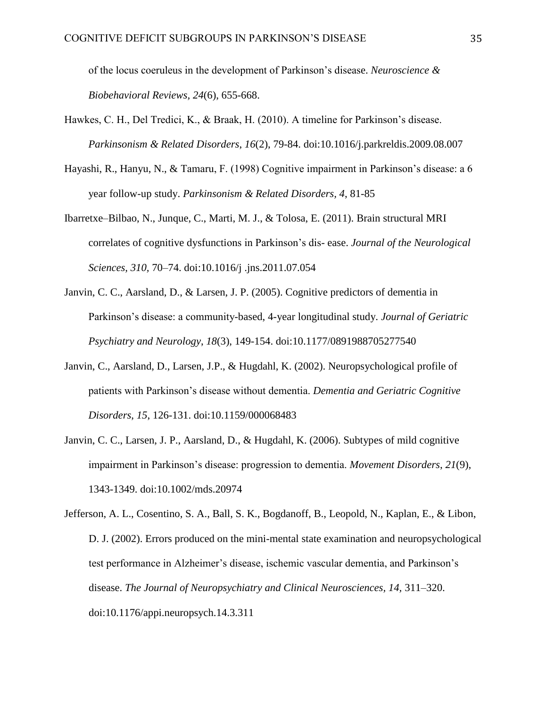of the locus coeruleus in the development of Parkinson's disease. *Neuroscience & Biobehavioral Reviews, 24*(6), 655-668.

- Hawkes, C. H., Del Tredici, K., & Braak, H. (2010). A timeline for Parkinson's disease. *Parkinsonism & Related Disorders*, *16*(2), 79-84. doi:10.1016/j.parkreldis.2009.08.007
- Hayashi, R., Hanyu, N., & Tamaru, F. (1998) Cognitive impairment in Parkinson's disease: a 6 year follow-up study. *Parkinsonism & Related Disorders, 4*, 81-85
- Ibarretxe–Bilbao, N., Junque, C., Marti, M. J., & Tolosa, E. (2011). Brain structural MRI correlates of cognitive dysfunctions in Parkinson's dis- ease. *Journal of the Neurological Sciences, 310,* 70–74. doi:10.1016/j .jns.2011.07.054
- Janvin, C. C., Aarsland, D., & Larsen, J. P. (2005). Cognitive predictors of dementia in Parkinson's disease: a community-based, 4-year longitudinal study. *Journal of Geriatric Psychiatry and Neurology*, *18*(3), 149-154. doi:10.1177/0891988705277540
- Janvin, C., Aarsland, D., Larsen, J.P., & Hugdahl, K. (2002). Neuropsychological profile of patients with Parkinson's disease without dementia. *Dementia and Geriatric Cognitive Disorders*, *15*, 126-131. doi:10.1159/000068483
- Janvin, C. C., Larsen, J. P., Aarsland, D., & Hugdahl, K. (2006). Subtypes of mild cognitive impairment in Parkinson's disease: progression to dementia. *Movement Disorders*, *21*(9), 1343-1349. doi:10.1002/mds.20974
- Jefferson, A. L., Cosentino, S. A., Ball, S. K., Bogdanoff, B., Leopold, N., Kaplan, E., & Libon, D. J. (2002). Errors produced on the mini-mental state examination and neuropsychological test performance in Alzheimer's disease, ischemic vascular dementia, and Parkinson's disease. *The Journal of Neuropsychiatry and Clinical Neurosciences, 14,* 311–320. doi:10.1176/appi.neuropsych.14.3.311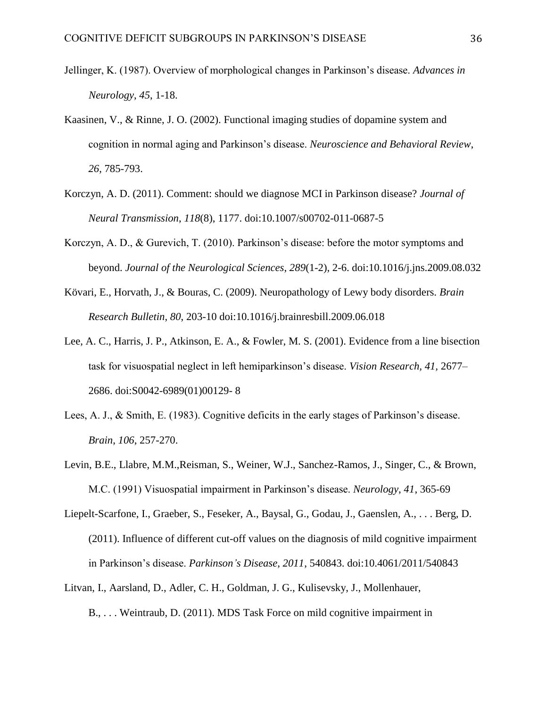- Jellinger, K. (1987). Overview of morphological changes in Parkinson's disease. *Advances in Neurology*, *45*, 1-18.
- Kaasinen, V., & Rinne, J. O. (2002). Functional imaging studies of dopamine system and cognition in normal aging and Parkinson's disease. *Neuroscience and Behavioral Review*, *26*, 785-793.
- Korczyn, A. D. (2011). Comment: should we diagnose MCI in Parkinson disease? *Journal of Neural Transmission*, *118*(8), 1177. doi:10.1007/s00702-011-0687-5
- Korczyn, A. D., & Gurevich, T. (2010). Parkinson's disease: before the motor symptoms and beyond. *Journal of the Neurological Sciences*, *289*(1-2), 2-6. doi:10.1016/j.jns.2009.08.032
- Kövari, E., Horvath, J., & Bouras, C. (2009). Neuropathology of Lewy body disorders. *Brain Research Bulletin*, *80*, 203-10 doi:10.1016/j.brainresbill.2009.06.018
- Lee, A. C., Harris, J. P., Atkinson, E. A., & Fowler, M. S. (2001). Evidence from a line bisection task for visuospatial neglect in left hemiparkinson's disease. *Vision Research, 41,* 2677– 2686. doi:S0042-6989(01)00129- 8
- Lees, A. J., & Smith, E. (1983). Cognitive deficits in the early stages of Parkinson's disease. *Brain*, *106*, 257-270.
- Levin, B.E., Llabre, M.M.,Reisman, S., Weiner, W.J., Sanchez-Ramos, J., Singer, C., & Brown, M.C. (1991) Visuospatial impairment in Parkinson's disease. *Neurology*, *41*, 365-69
- Liepelt-Scarfone, I., Graeber, S., Feseker, A., Baysal, G., Godau, J., Gaenslen, A., . . . Berg, D. (2011). Influence of different cut-off values on the diagnosis of mild cognitive impairment in Parkinson's disease. *Parkinson's Disease*, *2011*, 540843. doi:10.4061/2011/540843
- Litvan, I., Aarsland, D., Adler, C. H., Goldman, J. G., Kulisevsky, J., Mollenhauer,

B., . . . Weintraub, D. (2011). MDS Task Force on mild cognitive impairment in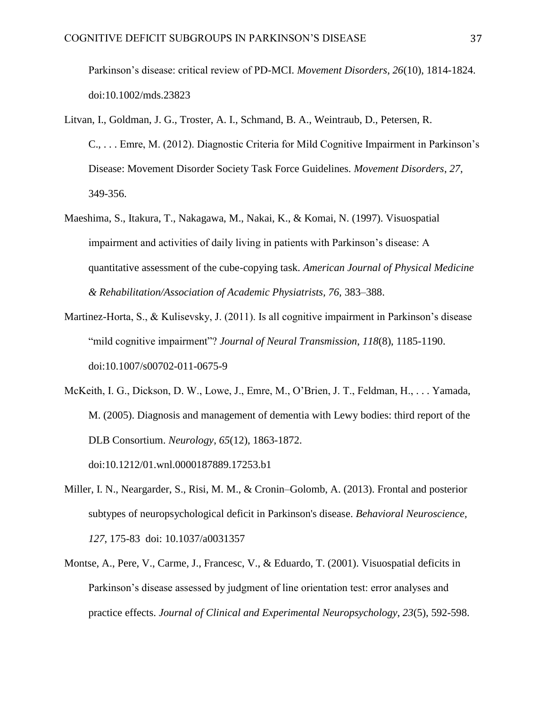Parkinson's disease: critical review of PD-MCI. *Movement Disorders*, *26*(10), 1814-1824. doi:10.1002/mds.23823

- Litvan, I., Goldman, J. G., Troster, A. I., Schmand, B. A., Weintraub, D., Petersen, R. C., . . . Emre, M. (2012). Diagnostic Criteria for Mild Cognitive Impairment in Parkinson's Disease: Movement Disorder Society Task Force Guidelines. *Movement Disorders*, *27*, 349-356.
- Maeshima, S., Itakura, T., Nakagawa, M., Nakai, K., & Komai, N. (1997). Visuospatial impairment and activities of daily living in patients with Parkinson's disease: A quantitative assessment of the cube-copying task. *American Journal of Physical Medicine & Rehabilitation/Association of Academic Physiatrists, 76,* 383–388.
- Martinez-Horta, S., & Kulisevsky, J. (2011). Is all cognitive impairment in Parkinson's disease "mild cognitive impairment"? *Journal of Neural Transmission*, *118*(8), 1185-1190. doi:10.1007/s00702-011-0675-9
- McKeith, I. G., Dickson, D. W., Lowe, J., Emre, M., O'Brien, J. T., Feldman, H., . . . Yamada, M. (2005). Diagnosis and management of dementia with Lewy bodies: third report of the DLB Consortium. *Neurology*, *65*(12), 1863-1872. doi:10.1212/01.wnl.0000187889.17253.b1
- Miller, I. N., Neargarder, S., Risi, M. M., & Cronin–Golomb, A. (2013). Frontal and posterior subtypes of neuropsychological deficit in Parkinson's disease. *Behavioral Neuroscience, 127*, 175-83 doi: 10.1037/a0031357
- Montse, A., Pere, V., Carme, J., Francesc, V., & Eduardo, T. (2001). Visuospatial deficits in Parkinson's disease assessed by judgment of line orientation test: error analyses and practice effects. *Journal of Clinical and Experimental Neuropsychology*, *23*(5), 592-598.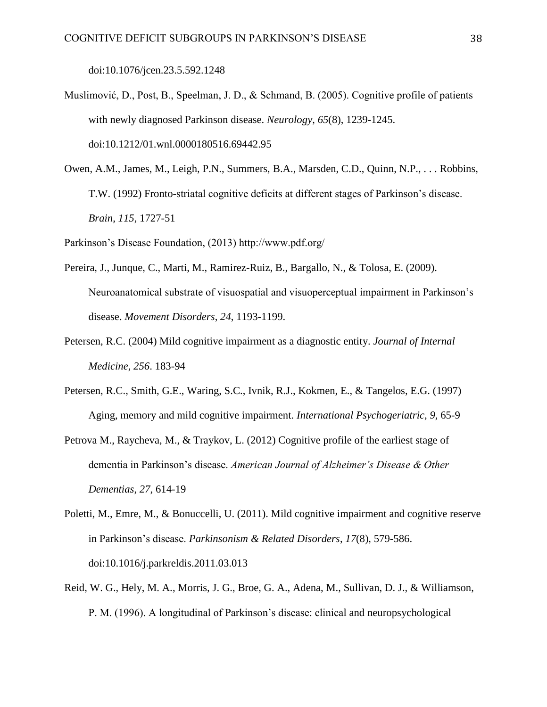doi:10.1076/jcen.23.5.592.1248

- Muslimović, D., Post, B., Speelman, J. D., & Schmand, B. (2005). Cognitive profile of patients with newly diagnosed Parkinson disease. *Neurology*, *65*(8), 1239-1245. doi:10.1212/01.wnl.0000180516.69442.95
- Owen, A.M., James, M., Leigh, P.N., Summers, B.A., Marsden, C.D., Quinn, N.P., . . . Robbins, T.W. (1992) Fronto-striatal cognitive deficits at different stages of Parkinson's disease. *Brain*, *115*, 1727-51

Parkinson's Disease Foundation, (2013) http://www.pdf.org/

- Pereira, J., Junque, C., Marti, M., Ramirez-Ruiz, B., Bargallo, N., & Tolosa, E. (2009). Neuroanatomical substrate of visuospatial and visuoperceptual impairment in Parkinson's disease. *Movement Disorders*, *24*, 1193-1199.
- Petersen, R.C. (2004) Mild cognitive impairment as a diagnostic entity. *Journal of Internal Medicine*, *256*. 183-94
- Petersen, R.C., Smith, G.E., Waring, S.C., Ivnik, R.J., Kokmen, E., & Tangelos, E.G. (1997) Aging, memory and mild cognitive impairment. *International Psychogeriatric*, *9*, 65-9
- Petrova M., Raycheva, M., & Traykov, L. (2012) Cognitive profile of the earliest stage of dementia in Parkinson's disease. *American Journal of Alzheimer's Disease & Other Dementias*, *27*, 614-19
- Poletti, M., Emre, M., & Bonuccelli, U. (2011). Mild cognitive impairment and cognitive reserve in Parkinson's disease. *Parkinsonism & Related Disorders*, *17*(8), 579-586. doi:10.1016/j.parkreldis.2011.03.013
- Reid, W. G., Hely, M. A., Morris, J. G., Broe, G. A., Adena, M., Sullivan, D. J., & Williamson, P. M. (1996). A longitudinal of Parkinson's disease: clinical and neuropsychological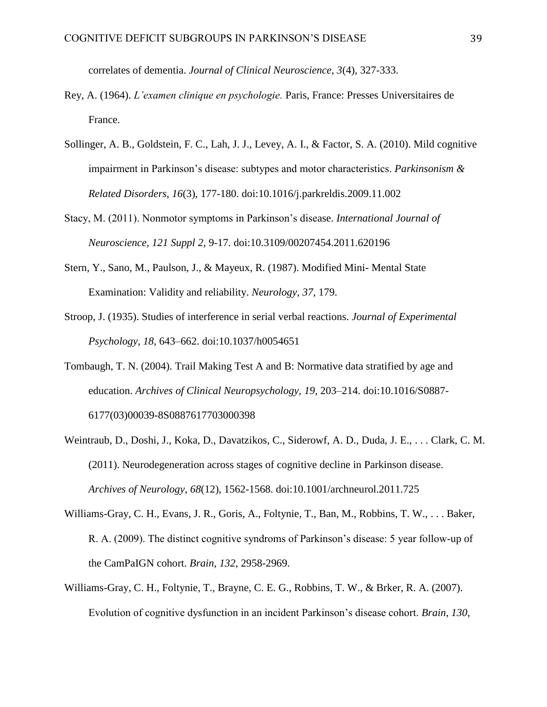correlates of dementia. *Journal of Clinical Neuroscience*, *3*(4), 327-333.

- Rey, A. (1964). *L'examen clinique en psychologie.* Paris, France: Presses Universitaires de France.
- Sollinger, A. B., Goldstein, F. C., Lah, J. J., Levey, A. I., & Factor, S. A. (2010). Mild cognitive impairment in Parkinson's disease: subtypes and motor characteristics. *Parkinsonism & Related Disorders*, *16*(3), 177-180. doi:10.1016/j.parkreldis.2009.11.002
- Stacy, M. (2011). Nonmotor symptoms in Parkinson's disease. *International Journal of Neuroscience*, *121 Suppl 2*, 9-17. doi:10.3109/00207454.2011.620196
- Stern, Y., Sano, M., Paulson, J., & Mayeux, R. (1987). Modified Mini- Mental State Examination: Validity and reliability. *Neurology, 37,* 179.
- Stroop, J. (1935). Studies of interference in serial verbal reactions. *Journal of Experimental Psychology, 18,* 643–662. doi:10.1037/h0054651
- Tombaugh, T. N. (2004). Trail Making Test A and B: Normative data stratified by age and education. *Archives of Clinical Neuropsychology, 19,* 203–214. doi:10.1016/S0887- 6177(03)00039-8S0887617703000398
- Weintraub, D., Doshi, J., Koka, D., Davatzikos, C., Siderowf, A. D., Duda, J. E., . . . Clark, C. M. (2011). Neurodegeneration across stages of cognitive decline in Parkinson disease. *Archives of Neurology*, *68*(12), 1562-1568. doi:10.1001/archneurol.2011.725
- Williams-Gray, C. H., Evans, J. R., Goris, A., Foltynie, T., Ban, M., Robbins, T. W., . . . Baker, R. A. (2009). The distinct cognitive syndroms of Parkinson's disease: 5 year follow-up of the CamPaIGN cohort. *Brain*, *132*, 2958-2969.
- Williams-Gray, C. H., Foltynie, T., Brayne, C. E. G., Robbins, T. W., & Brker, R. A. (2007). Evolution of cognitive dysfunction in an incident Parkinson's disease cohort. *Brain*, *130*,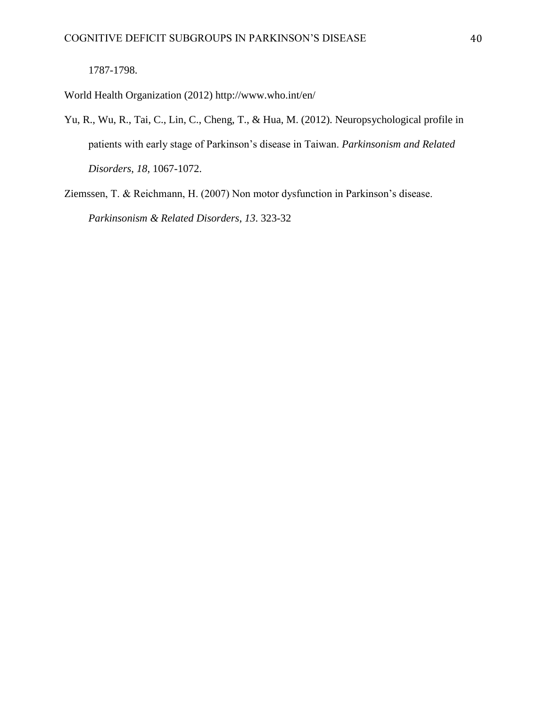World Health Organization (2012) http://www.who.int/en/

- Yu, R., Wu, R., Tai, C., Lin, C., Cheng, T., & Hua, M. (2012). Neuropsychological profile in patients with early stage of Parkinson's disease in Taiwan. *Parkinsonism and Related Disorders*, *18*, 1067-1072.
- Ziemssen, T. & Reichmann, H. (2007) Non motor dysfunction in Parkinson's disease. *Parkinsonism & Related Disorders*, *13*. 323-32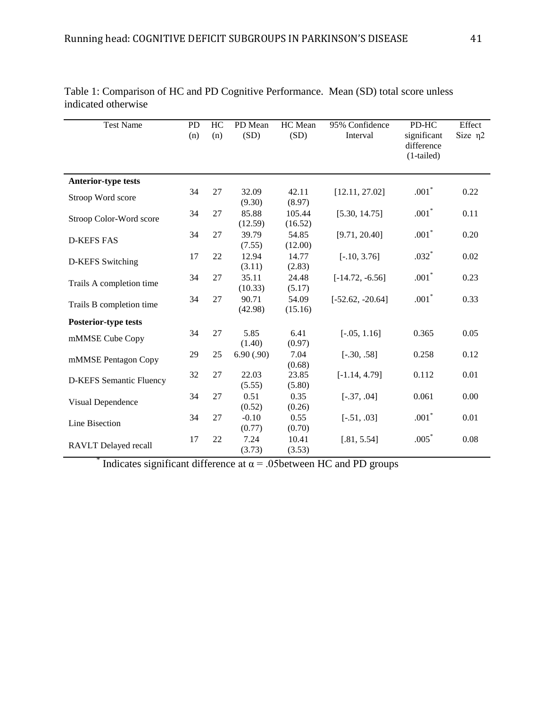| <b>Test Name</b>               | PD<br>(n) | HC<br>(n) | PD Mean<br>(SD)   | HC Mean<br>(SD)   | 95% Confidence<br>Interval | PD-HC<br>significant<br>difference<br>$(1-tailed)$ | Effect<br>Size $\eta$ 2 |
|--------------------------------|-----------|-----------|-------------------|-------------------|----------------------------|----------------------------------------------------|-------------------------|
| <b>Anterior-type tests</b>     |           |           |                   |                   |                            |                                                    |                         |
| Stroop Word score              | 34        | 27        | 32.09<br>(9.30)   | 42.11<br>(8.97)   | [12.11, 27.02]             | $.001*$                                            | 0.22                    |
| Stroop Color-Word score        | 34        | 27        | 85.88<br>(12.59)  | 105.44<br>(16.52) | [5.30, 14.75]              | $.001*$                                            | 0.11                    |
| <b>D-KEFS FAS</b>              | 34        | 27        | 39.79<br>(7.55)   | 54.85<br>(12.00)  | [9.71, 20.40]              | $.001*$                                            | 0.20                    |
| <b>D-KEFS</b> Switching        | 17        | 22        | 12.94<br>(3.11)   | 14.77<br>(2.83)   | $[-.10, 3.76]$             | $.032*$                                            | 0.02                    |
| Trails A completion time       | 34        | 27        | 35.11<br>(10.33)  | 24.48<br>(5.17)   | $[-14.72, -6.56]$          | $.001*$                                            | 0.23                    |
| Trails B completion time       | 34        | 27        | 90.71<br>(42.98)  | 54.09<br>(15.16)  | $[-52.62, -20.64]$         | $.001*$                                            | 0.33                    |
| <b>Posterior-type tests</b>    |           |           |                   |                   |                            |                                                    |                         |
| mMMSE Cube Copy                | 34        | 27        | 5.85<br>(1.40)    | 6.41<br>(0.97)    | $[-.05, 1.16]$             | 0.365                                              | 0.05                    |
| mMMSE Pentagon Copy            | 29        | 25        | 6.90(.90)         | 7.04<br>(0.68)    | $[-.30, .58]$              | 0.258                                              | 0.12                    |
| <b>D-KEFS Semantic Fluency</b> | 32        | 27        | 22.03<br>(5.55)   | 23.85<br>(5.80)   | $[-1.14, 4.79]$            | 0.112                                              | 0.01                    |
| Visual Dependence              | 34        | 27        | 0.51<br>(0.52)    | 0.35<br>(0.26)    | $[-.37, .04]$              | 0.061                                              | 0.00                    |
| Line Bisection                 | 34        | 27        | $-0.10$<br>(0.77) | 0.55<br>(0.70)    | $[-.51, .03]$              | $.001*$                                            | 0.01                    |
| <b>RAVLT</b> Delayed recall    | 17        | 22        | 7.24<br>(3.73)    | 10.41<br>(3.53)   | [.81, 5.54]                | $.005*$                                            | 0.08                    |

Table 1: Comparison of HC and PD Cognitive Performance. Mean (SD) total score unless indicated otherwise

<sup>\*</sup> Indicates significant difference at  $\alpha$  = .05between HC and PD groups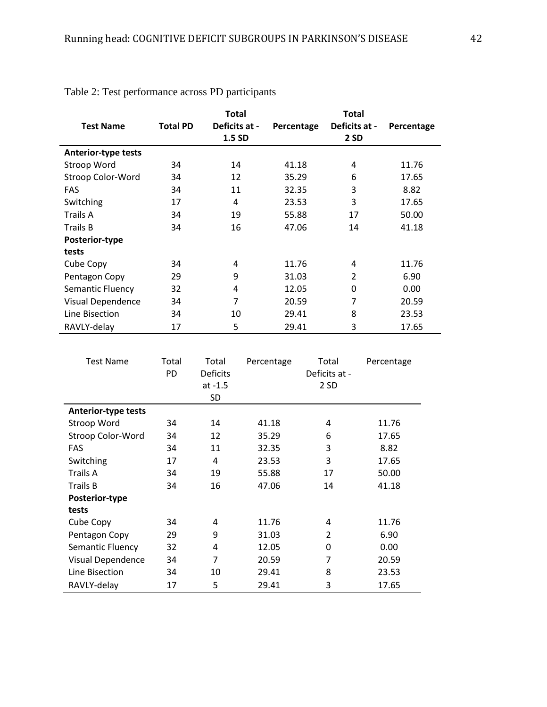|                            |                 | <b>Total</b>  |            | <b>Total</b>   |            |
|----------------------------|-----------------|---------------|------------|----------------|------------|
| <b>Test Name</b>           | <b>Total PD</b> | Deficits at - | Percentage | Deficits at -  | Percentage |
|                            |                 | 1.5 SD        |            | 2 SD           |            |
| <b>Anterior-type tests</b> |                 |               |            |                |            |
| Stroop Word                | 34              | 14            | 41.18      | 4              | 11.76      |
| Stroop Color-Word          | 34              | 12            | 35.29      | 6              | 17.65      |
| <b>FAS</b>                 | 34              | 11            | 32.35      | 3              | 8.82       |
| Switching                  | 17              | 4             | 23.53      | 3              | 17.65      |
| Trails A                   | 34              | 19            | 55.88      | 17             | 50.00      |
| <b>Trails B</b>            | 34              | 16            | 47.06      | 14             | 41.18      |
| Posterior-type             |                 |               |            |                |            |
| tests                      |                 |               |            |                |            |
| Cube Copy                  | 34              | 4             | 11.76      | 4              | 11.76      |
| Pentagon Copy              | 29              | 9             | 31.03      | $\overline{2}$ | 6.90       |
| Semantic Fluency           | 32              | 4             | 12.05      | 0              | 0.00       |
| Visual Dependence          | 34              | 7             | 20.59      | 7              | 20.59      |
| Line Bisection             | 34              | 10            | 29.41      | 8              | 23.53      |
| RAVLY-delay                | 17              | 5             | 29.41      | 3              | 17.65      |

Table 2: Test performance across PD participants

| <b>Test Name</b>           | Total<br>PD | Total<br><b>Deficits</b><br>$at -1.5$<br>SD | Percentage | Total<br>Deficits at -<br>2 SD | Percentage |
|----------------------------|-------------|---------------------------------------------|------------|--------------------------------|------------|
| <b>Anterior-type tests</b> |             |                                             |            |                                |            |
| Stroop Word                | 34          | 14                                          | 41.18      | 4                              | 11.76      |
| Stroop Color-Word          | 34          | 12                                          | 35.29      | 6                              | 17.65      |
| <b>FAS</b>                 | 34          | 11                                          | 32.35      | 3                              | 8.82       |
| Switching                  | 17          | 4                                           | 23.53      | 3                              | 17.65      |
| Trails A                   | 34          | 19                                          | 55.88      | 17                             | 50.00      |
| <b>Trails B</b>            | 34          | 16                                          | 47.06      | 14                             | 41.18      |
| Posterior-type             |             |                                             |            |                                |            |
| tests                      |             |                                             |            |                                |            |
| Cube Copy                  | 34          | 4                                           | 11.76      | 4                              | 11.76      |
| Pentagon Copy              | 29          | 9                                           | 31.03      | $\overline{2}$                 | 6.90       |
| Semantic Fluency           | 32          | 4                                           | 12.05      | 0                              | 0.00       |
| Visual Dependence          | 34          | 7                                           | 20.59      | 7                              | 20.59      |
| Line Bisection             | 34          | 10                                          | 29.41      | 8                              | 23.53      |
| RAVLY-delay                | 17          | 5                                           | 29.41      | 3                              | 17.65      |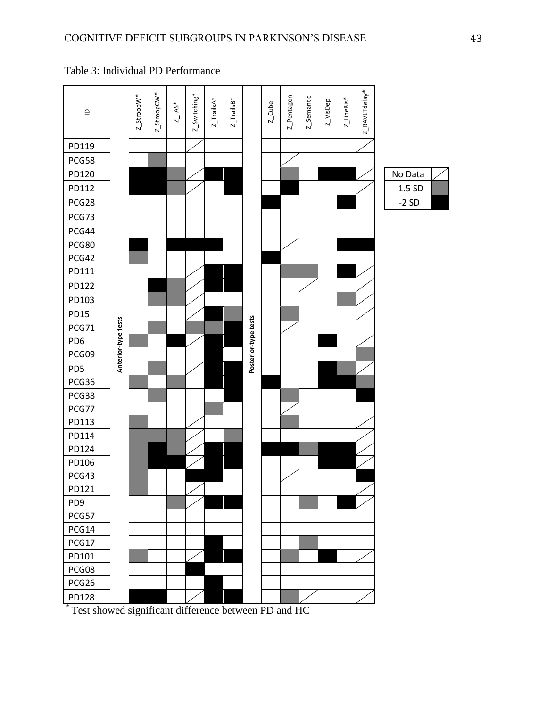| $\supseteq$     |                     | Z_StroopW* | Z_StroopCW* | $Z$ <sub>_</sub> FAS <sup>*</sup> | z_Switching* | $Z_{\_}$ TrailsA* | $Z$ _TrailsB <sup>*</sup> |                      | $Z$ _Cube | Z_Pentagon | Z_Semantic | Z_VisDep | $Z$ _LineBis* | Z_RAVLTdelay* |          |  |
|-----------------|---------------------|------------|-------------|-----------------------------------|--------------|-------------------|---------------------------|----------------------|-----------|------------|------------|----------|---------------|---------------|----------|--|
| PD119           |                     |            |             |                                   |              |                   |                           |                      |           |            |            |          |               |               |          |  |
| PCG58           |                     |            |             |                                   |              |                   |                           |                      |           |            |            |          |               |               |          |  |
| PD120           |                     |            |             |                                   |              |                   |                           |                      |           |            |            |          |               |               | No Data  |  |
| PD112           |                     |            |             |                                   |              |                   |                           |                      |           |            |            |          |               |               | $-1.5SD$ |  |
| PCG28           |                     |            |             |                                   |              |                   |                           |                      |           |            |            |          |               |               | $-2SD$   |  |
| PCG73           |                     |            |             |                                   |              |                   |                           |                      |           |            |            |          |               |               |          |  |
| PCG44           |                     |            |             |                                   |              |                   |                           |                      |           |            |            |          |               |               |          |  |
| PCG80           |                     |            |             |                                   |              |                   |                           |                      |           |            |            |          |               |               |          |  |
| PCG42           |                     |            |             |                                   |              |                   |                           |                      |           |            |            |          |               |               |          |  |
| PD111           |                     |            |             |                                   |              |                   |                           |                      |           |            |            |          |               |               |          |  |
| PD122           |                     |            |             |                                   |              |                   |                           |                      |           |            |            |          |               |               |          |  |
| PD103           |                     |            |             |                                   |              |                   |                           |                      |           |            |            |          |               |               |          |  |
| <b>PD15</b>     |                     |            |             |                                   |              |                   |                           |                      |           |            |            |          |               |               |          |  |
| PCG71           |                     |            |             |                                   |              |                   |                           |                      |           |            |            |          |               |               |          |  |
| PD <sub>6</sub> | Anterior-type tests |            |             |                                   |              |                   |                           | Posterior-type tests |           |            |            |          |               |               |          |  |
| PCG09           |                     |            |             |                                   |              |                   |                           |                      |           |            |            |          |               |               |          |  |
| PD5             |                     |            |             |                                   |              |                   |                           |                      |           |            |            |          |               |               |          |  |
| PCG36           |                     |            |             |                                   |              |                   |                           |                      |           |            |            |          |               |               |          |  |
| PCG38           |                     |            |             |                                   |              |                   |                           |                      |           |            |            |          |               |               |          |  |
| PCG77           |                     |            |             |                                   |              |                   |                           |                      |           |            |            |          |               |               |          |  |
| PD113           |                     |            |             |                                   |              |                   |                           |                      |           |            |            |          |               |               |          |  |
| PD114           |                     |            |             |                                   |              |                   |                           |                      |           |            |            |          |               |               |          |  |
| PD124           |                     |            |             |                                   |              |                   |                           |                      |           |            |            |          |               |               |          |  |
| PD106           |                     |            |             |                                   |              |                   |                           |                      |           |            |            |          |               |               |          |  |
| PCG43           |                     |            |             |                                   | ╱            |                   |                           |                      |           |            |            |          |               |               |          |  |
| PD121           |                     |            |             |                                   |              |                   |                           |                      |           |            |            |          |               |               |          |  |
| PD <sub>9</sub> |                     |            |             |                                   |              |                   |                           |                      |           |            |            |          |               |               |          |  |
| PCG57           |                     |            |             |                                   |              |                   |                           |                      |           |            |            |          |               |               |          |  |
| PCG14           |                     |            |             |                                   |              |                   |                           |                      |           |            |            |          |               |               |          |  |
| PCG17           |                     |            |             |                                   |              |                   |                           |                      |           |            |            |          |               |               |          |  |
| PD101           |                     |            |             |                                   |              |                   |                           |                      |           |            |            |          |               |               |          |  |
| PCG08           |                     |            |             |                                   |              |                   |                           |                      |           |            |            |          |               |               |          |  |
| PCG26           |                     |            |             |                                   |              |                   |                           |                      |           |            |            |          |               |               |          |  |
| <b>PD128</b>    |                     |            |             |                                   |              |                   |                           |                      |           |            |            |          |               |               |          |  |

Table 3: Individual PD Performance

\* Test showed significant difference between PD and HC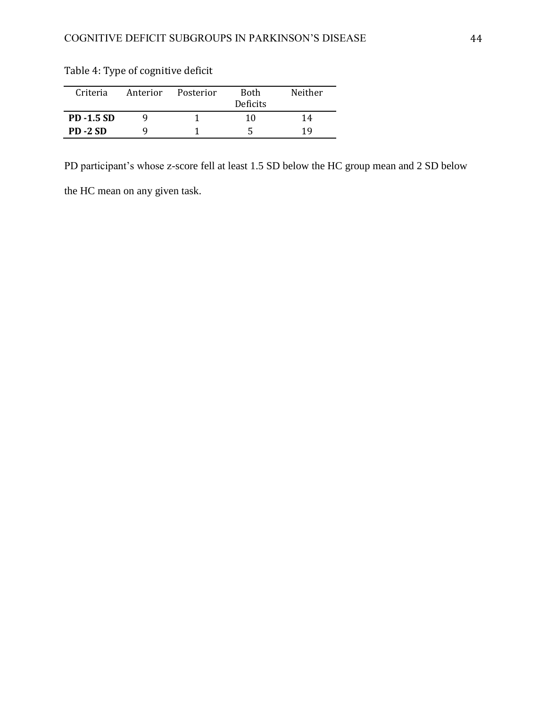| Criteria         | Anterior | Posterior | <b>Both</b><br><b>Deficits</b> | Neither |  |  |
|------------------|----------|-----------|--------------------------------|---------|--|--|
| <b>PD-1.5 SD</b> |          |           | 10                             | 14      |  |  |
| <b>PD-2 SD</b>   |          |           |                                | 19      |  |  |

Table 4: Type of cognitive deficit

PD participant's whose z-score fell at least 1.5 SD below the HC group mean and 2 SD below

the HC mean on any given task.